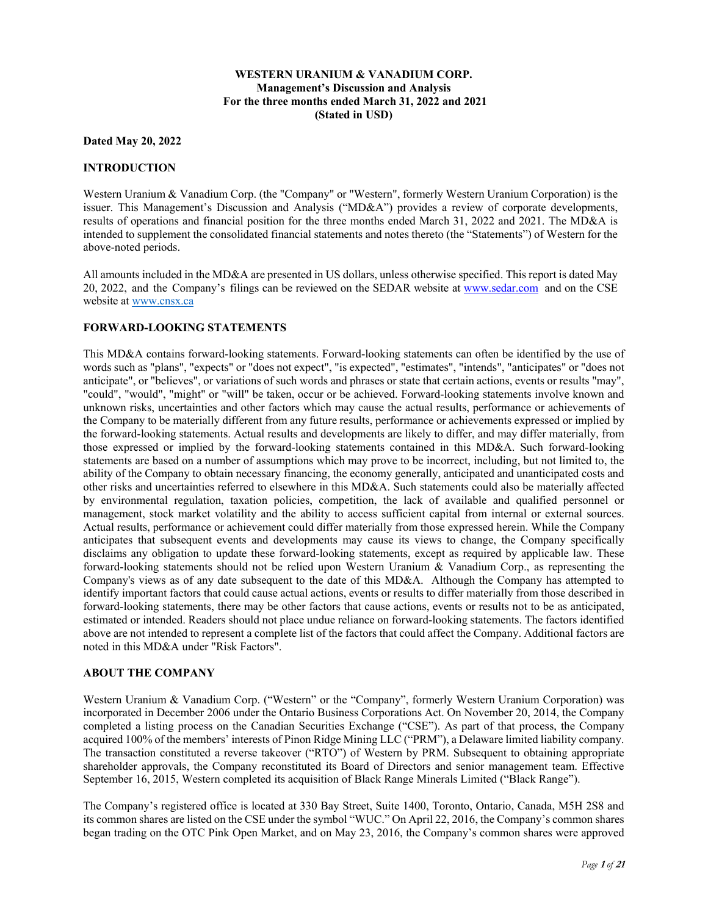## **WESTERN URANIUM & VANADIUM CORP. Management's Discussion and Analysis For the three months ended March 31, 2022 and 2021 (Stated in USD)**

### **Dated May 20, 2022**

### **INTRODUCTION**

Western Uranium & Vanadium Corp. (the "Company" or "Western", formerly Western Uranium Corporation) is the issuer. This Management's Discussion and Analysis ("MD&A") provides a review of corporate developments, results of operations and financial position for the three months ended March 31, 2022 and 2021. The MD&A is intended to supplement the consolidated financial statements and notes thereto (the "Statements") of Western for the above-noted periods.

All amounts included in the MD&A are presented in US dollars, unless otherwise specified. This report is dated May 20, 2022, and the Company's filings can be reviewed on the SEDAR website at www.sedar.com and on the CSE website at www.cnsx.ca

## **FORWARD-LOOKING STATEMENTS**

This MD&A contains forward-looking statements. Forward-looking statements can often be identified by the use of words such as "plans", "expects" or "does not expect", "is expected", "estimates", "intends", "anticipates" or "does not anticipate", or "believes", or variations of such words and phrases or state that certain actions, events or results "may", "could", "would", "might" or "will" be taken, occur or be achieved. Forward-looking statements involve known and unknown risks, uncertainties and other factors which may cause the actual results, performance or achievements of the Company to be materially different from any future results, performance or achievements expressed or implied by the forward-looking statements. Actual results and developments are likely to differ, and may differ materially, from those expressed or implied by the forward-looking statements contained in this MD&A. Such forward-looking statements are based on a number of assumptions which may prove to be incorrect, including, but not limited to, the ability of the Company to obtain necessary financing, the economy generally, anticipated and unanticipated costs and other risks and uncertainties referred to elsewhere in this MD&A. Such statements could also be materially affected by environmental regulation, taxation policies, competition, the lack of available and qualified personnel or management, stock market volatility and the ability to access sufficient capital from internal or external sources. Actual results, performance or achievement could differ materially from those expressed herein. While the Company anticipates that subsequent events and developments may cause its views to change, the Company specifically disclaims any obligation to update these forward-looking statements, except as required by applicable law. These forward-looking statements should not be relied upon Western Uranium & Vanadium Corp., as representing the Company's views as of any date subsequent to the date of this MD&A. Although the Company has attempted to identify important factors that could cause actual actions, events or results to differ materially from those described in forward-looking statements, there may be other factors that cause actions, events or results not to be as anticipated, estimated or intended. Readers should not place undue reliance on forward-looking statements. The factors identified above are not intended to represent a complete list of the factors that could affect the Company. Additional factors are noted in this MD&A under "Risk Factors".

### **ABOUT THE COMPANY**

Western Uranium & Vanadium Corp. ("Western" or the "Company", formerly Western Uranium Corporation) was incorporated in December 2006 under the Ontario Business Corporations Act. On November 20, 2014, the Company completed a listing process on the Canadian Securities Exchange ("CSE"). As part of that process, the Company acquired 100% of the members' interests of Pinon Ridge Mining LLC ("PRM"), a Delaware limited liability company. The transaction constituted a reverse takeover ("RTO") of Western by PRM. Subsequent to obtaining appropriate shareholder approvals, the Company reconstituted its Board of Directors and senior management team. Effective September 16, 2015, Western completed its acquisition of Black Range Minerals Limited ("Black Range").

The Company's registered office is located at 330 Bay Street, Suite 1400, Toronto, Ontario, Canada, M5H 2S8 and its common shares are listed on the CSE under the symbol "WUC." On April 22, 2016, the Company's common shares began trading on the OTC Pink Open Market, and on May 23, 2016, the Company's common shares were approved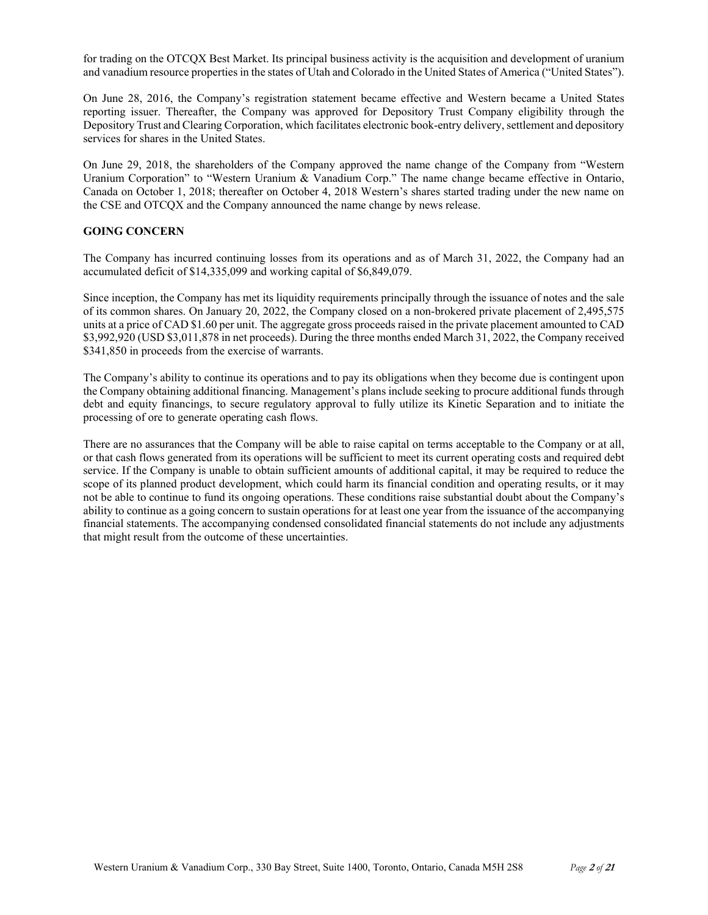for trading on the OTCQX Best Market. Its principal business activity is the acquisition and development of uranium and vanadium resource properties in the states of Utah and Colorado in the United States of America ("United States").

On June 28, 2016, the Company's registration statement became effective and Western became a United States reporting issuer. Thereafter, the Company was approved for Depository Trust Company eligibility through the Depository Trust and Clearing Corporation, which facilitates electronic book-entry delivery, settlement and depository services for shares in the United States.

On June 29, 2018, the shareholders of the Company approved the name change of the Company from "Western Uranium Corporation" to "Western Uranium & Vanadium Corp." The name change became effective in Ontario, Canada on October 1, 2018; thereafter on October 4, 2018 Western's shares started trading under the new name on the CSE and OTCQX and the Company announced the name change by news release.

# **GOING CONCERN**

The Company has incurred continuing losses from its operations and as of March 31, 2022, the Company had an accumulated deficit of \$14,335,099 and working capital of \$6,849,079.

Since inception, the Company has met its liquidity requirements principally through the issuance of notes and the sale of its common shares. On January 20, 2022, the Company closed on a non-brokered private placement of 2,495,575 units at a price of CAD \$1.60 per unit. The aggregate gross proceeds raised in the private placement amounted to CAD \$3,992,920 (USD \$3,011,878 in net proceeds). During the three months ended March 31, 2022, the Company received \$341,850 in proceeds from the exercise of warrants.

The Company's ability to continue its operations and to pay its obligations when they become due is contingent upon the Company obtaining additional financing. Management's plans include seeking to procure additional funds through debt and equity financings, to secure regulatory approval to fully utilize its Kinetic Separation and to initiate the processing of ore to generate operating cash flows.

There are no assurances that the Company will be able to raise capital on terms acceptable to the Company or at all, or that cash flows generated from its operations will be sufficient to meet its current operating costs and required debt service. If the Company is unable to obtain sufficient amounts of additional capital, it may be required to reduce the scope of its planned product development, which could harm its financial condition and operating results, or it may not be able to continue to fund its ongoing operations. These conditions raise substantial doubt about the Company's ability to continue as a going concern to sustain operations for at least one year from the issuance of the accompanying financial statements. The accompanying condensed consolidated financial statements do not include any adjustments that might result from the outcome of these uncertainties.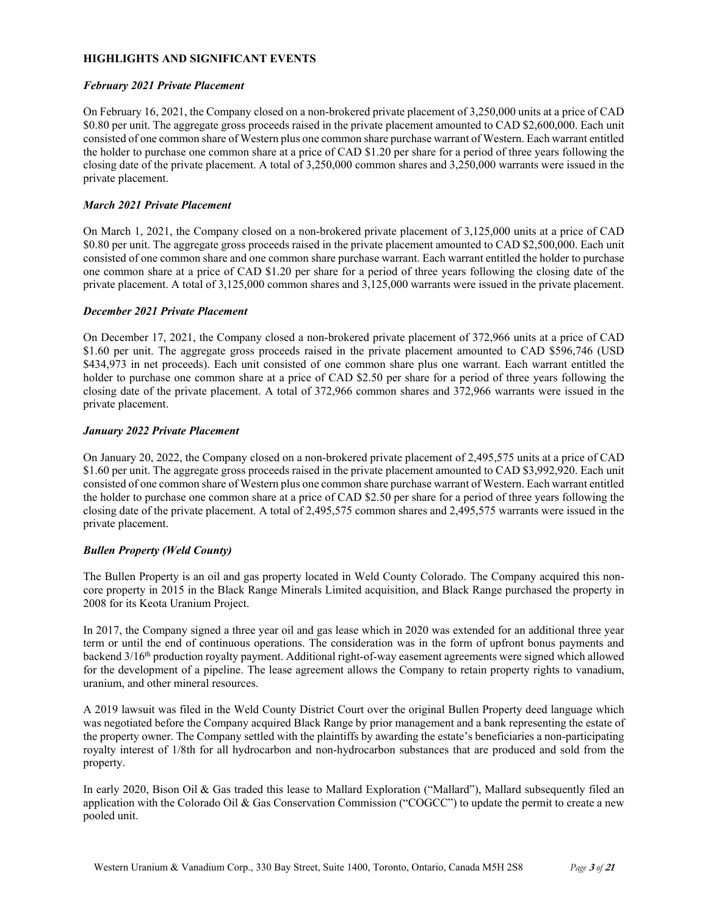### **HIGHLIGHTS AND SIGNIFICANT EVENTS**

### *February 2021 Private Placement*

On February 16, 2021, the Company closed on a non-brokered private placement of 3,250,000 units at a price of CAD \$0.80 per unit. The aggregate gross proceeds raised in the private placement amounted to CAD \$2,600,000. Each unit consisted of one common share of Western plus one common share purchase warrant of Western. Each warrant entitled the holder to purchase one common share at a price of CAD \$1.20 per share for a period of three years following the closing date of the private placement. A total of 3,250,000 common shares and 3,250,000 warrants were issued in the private placement.

## *March 2021 Private Placement*

On March 1, 2021, the Company closed on a non-brokered private placement of 3,125,000 units at a price of CAD \$0.80 per unit. The aggregate gross proceeds raised in the private placement amounted to CAD \$2,500,000. Each unit consisted of one common share and one common share purchase warrant. Each warrant entitled the holder to purchase one common share at a price of CAD \$1.20 per share for a period of three years following the closing date of the private placement. A total of 3,125,000 common shares and 3,125,000 warrants were issued in the private placement.

## *December 2021 Private Placement*

On December 17, 2021, the Company closed a non-brokered private placement of 372,966 units at a price of CAD \$1.60 per unit. The aggregate gross proceeds raised in the private placement amounted to CAD \$596,746 (USD) \$434,973 in net proceeds). Each unit consisted of one common share plus one warrant. Each warrant entitled the holder to purchase one common share at a price of CAD \$2.50 per share for a period of three years following the closing date of the private placement. A total of 372,966 common shares and 372,966 warrants were issued in the private placement.

## *January 2022 Private Placement*

On January 20, 2022, the Company closed on a non-brokered private placement of 2,495,575 units at a price of CAD \$1.60 per unit. The aggregate gross proceeds raised in the private placement amounted to CAD \$3,992,920. Each unit consisted of one common share of Western plus one common share purchase warrant of Western. Each warrant entitled the holder to purchase one common share at a price of CAD \$2.50 per share for a period of three years following the closing date of the private placement. A total of 2,495,575 common shares and 2,495,575 warrants were issued in the private placement.

# *Bullen Property (Weld County)*

The Bullen Property is an oil and gas property located in Weld County Colorado. The Company acquired this noncore property in 2015 in the Black Range Minerals Limited acquisition, and Black Range purchased the property in 2008 for its Keota Uranium Project.

In 2017, the Company signed a three year oil and gas lease which in 2020 was extended for an additional three year term or until the end of continuous operations. The consideration was in the form of upfront bonus payments and backend 3/16th production royalty payment. Additional right-of-way easement agreements were signed which allowed for the development of a pipeline. The lease agreement allows the Company to retain property rights to vanadium, uranium, and other mineral resources.

A 2019 lawsuit was filed in the Weld County District Court over the original Bullen Property deed language which was negotiated before the Company acquired Black Range by prior management and a bank representing the estate of the property owner. The Company settled with the plaintiffs by awarding the estate's beneficiaries a non-participating royalty interest of 1/8th for all hydrocarbon and non-hydrocarbon substances that are produced and sold from the property.

In early 2020, Bison Oil & Gas traded this lease to Mallard Exploration ("Mallard"), Mallard subsequently filed an application with the Colorado Oil & Gas Conservation Commission ("COGCC") to update the permit to create a new pooled unit.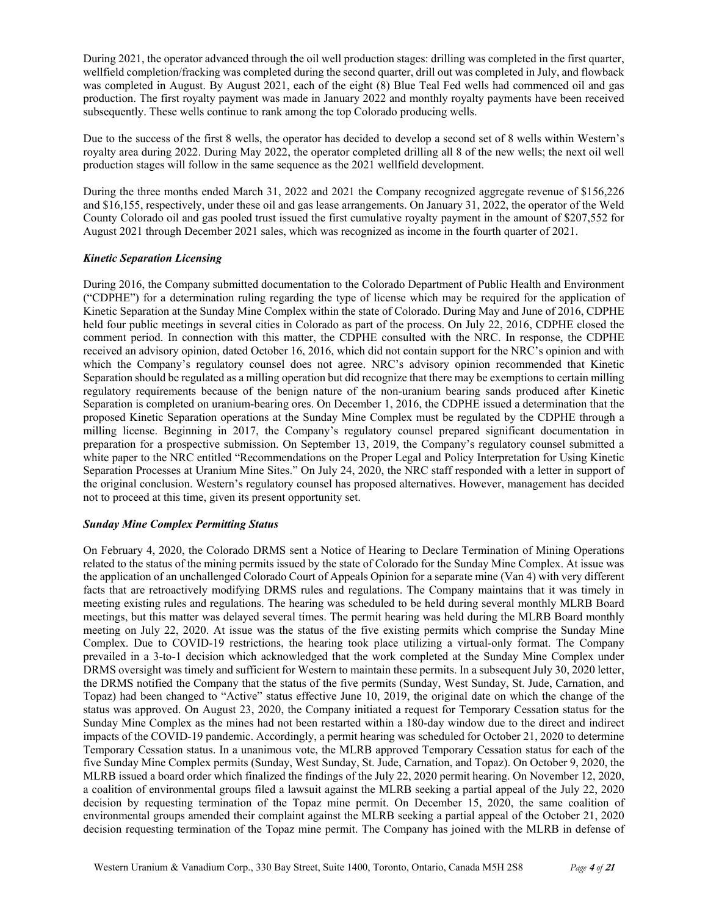During 2021, the operator advanced through the oil well production stages: drilling was completed in the first quarter, wellfield completion/fracking was completed during the second quarter, drill out was completed in July, and flowback was completed in August. By August 2021, each of the eight (8) Blue Teal Fed wells had commenced oil and gas production. The first royalty payment was made in January 2022 and monthly royalty payments have been received subsequently. These wells continue to rank among the top Colorado producing wells.

Due to the success of the first 8 wells, the operator has decided to develop a second set of 8 wells within Western's royalty area during 2022. During May 2022, the operator completed drilling all 8 of the new wells; the next oil well production stages will follow in the same sequence as the 2021 wellfield development.

During the three months ended March 31, 2022 and 2021 the Company recognized aggregate revenue of \$156,226 and \$16,155, respectively, under these oil and gas lease arrangements. On January 31, 2022, the operator of the Weld County Colorado oil and gas pooled trust issued the first cumulative royalty payment in the amount of \$207,552 for August 2021 through December 2021 sales, which was recognized as income in the fourth quarter of 2021.

# *Kinetic Separation Licensing*

During 2016, the Company submitted documentation to the Colorado Department of Public Health and Environment ("CDPHE") for a determination ruling regarding the type of license which may be required for the application of Kinetic Separation at the Sunday Mine Complex within the state of Colorado. During May and June of 2016, CDPHE held four public meetings in several cities in Colorado as part of the process. On July 22, 2016, CDPHE closed the comment period. In connection with this matter, the CDPHE consulted with the NRC. In response, the CDPHE received an advisory opinion, dated October 16, 2016, which did not contain support for the NRC's opinion and with which the Company's regulatory counsel does not agree. NRC's advisory opinion recommended that Kinetic Separation should be regulated as a milling operation but did recognize that there may be exemptions to certain milling regulatory requirements because of the benign nature of the non-uranium bearing sands produced after Kinetic Separation is completed on uranium-bearing ores. On December 1, 2016, the CDPHE issued a determination that the proposed Kinetic Separation operations at the Sunday Mine Complex must be regulated by the CDPHE through a milling license. Beginning in 2017, the Company's regulatory counsel prepared significant documentation in preparation for a prospective submission. On September 13, 2019, the Company's regulatory counsel submitted a white paper to the NRC entitled "Recommendations on the Proper Legal and Policy Interpretation for Using Kinetic Separation Processes at Uranium Mine Sites." On July 24, 2020, the NRC staff responded with a letter in support of the original conclusion. Western's regulatory counsel has proposed alternatives. However, management has decided not to proceed at this time, given its present opportunity set.

### *Sunday Mine Complex Permitting Status*

On February 4, 2020, the Colorado DRMS sent a Notice of Hearing to Declare Termination of Mining Operations related to the status of the mining permits issued by the state of Colorado for the Sunday Mine Complex. At issue was the application of an unchallenged Colorado Court of Appeals Opinion for a separate mine (Van 4) with very different facts that are retroactively modifying DRMS rules and regulations. The Company maintains that it was timely in meeting existing rules and regulations. The hearing was scheduled to be held during several monthly MLRB Board meetings, but this matter was delayed several times. The permit hearing was held during the MLRB Board monthly meeting on July 22, 2020. At issue was the status of the five existing permits which comprise the Sunday Mine Complex. Due to COVID-19 restrictions, the hearing took place utilizing a virtual-only format. The Company prevailed in a 3-to-1 decision which acknowledged that the work completed at the Sunday Mine Complex under DRMS oversight was timely and sufficient for Western to maintain these permits. In a subsequent July 30, 2020 letter, the DRMS notified the Company that the status of the five permits (Sunday, West Sunday, St. Jude, Carnation, and Topaz) had been changed to "Active" status effective June 10, 2019, the original date on which the change of the status was approved. On August 23, 2020, the Company initiated a request for Temporary Cessation status for the Sunday Mine Complex as the mines had not been restarted within a 180-day window due to the direct and indirect impacts of the COVID-19 pandemic. Accordingly, a permit hearing was scheduled for October 21, 2020 to determine Temporary Cessation status. In a unanimous vote, the MLRB approved Temporary Cessation status for each of the five Sunday Mine Complex permits (Sunday, West Sunday, St. Jude, Carnation, and Topaz). On October 9, 2020, the MLRB issued a board order which finalized the findings of the July 22, 2020 permit hearing. On November 12, 2020, a coalition of environmental groups filed a lawsuit against the MLRB seeking a partial appeal of the July 22, 2020 decision by requesting termination of the Topaz mine permit. On December 15, 2020, the same coalition of environmental groups amended their complaint against the MLRB seeking a partial appeal of the October 21, 2020 decision requesting termination of the Topaz mine permit. The Company has joined with the MLRB in defense of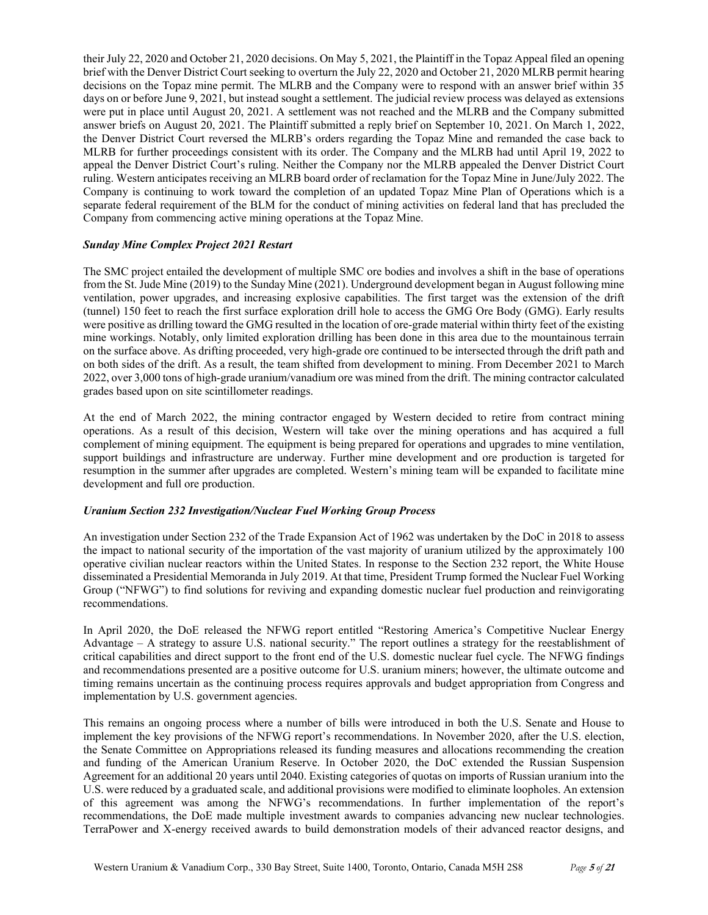their July 22, 2020 and October 21, 2020 decisions. On May 5, 2021, the Plaintiff in the Topaz Appeal filed an opening brief with the Denver District Court seeking to overturn the July 22, 2020 and October 21, 2020 MLRB permit hearing decisions on the Topaz mine permit. The MLRB and the Company were to respond with an answer brief within 35 days on or before June 9, 2021, but instead sought a settlement. The judicial review process was delayed as extensions were put in place until August 20, 2021. A settlement was not reached and the MLRB and the Company submitted answer briefs on August 20, 2021. The Plaintiff submitted a reply brief on September 10, 2021. On March 1, 2022, the Denver District Court reversed the MLRB's orders regarding the Topaz Mine and remanded the case back to MLRB for further proceedings consistent with its order. The Company and the MLRB had until April 19, 2022 to appeal the Denver District Court's ruling. Neither the Company nor the MLRB appealed the Denver District Court ruling. Western anticipates receiving an MLRB board order of reclamation for the Topaz Mine in June/July 2022. The Company is continuing to work toward the completion of an updated Topaz Mine Plan of Operations which is a separate federal requirement of the BLM for the conduct of mining activities on federal land that has precluded the Company from commencing active mining operations at the Topaz Mine.

# *Sunday Mine Complex Project 2021 Restart*

The SMC project entailed the development of multiple SMC ore bodies and involves a shift in the base of operations from the St. Jude Mine (2019) to the Sunday Mine (2021). Underground development began in August following mine ventilation, power upgrades, and increasing explosive capabilities. The first target was the extension of the drift (tunnel) 150 feet to reach the first surface exploration drill hole to access the GMG Ore Body (GMG). Early results were positive as drilling toward the GMG resulted in the location of ore-grade material within thirty feet of the existing mine workings. Notably, only limited exploration drilling has been done in this area due to the mountainous terrain on the surface above. As drifting proceeded, very high-grade ore continued to be intersected through the drift path and on both sides of the drift. As a result, the team shifted from development to mining. From December 2021 to March 2022, over 3,000 tons of high-grade uranium/vanadium ore was mined from the drift. The mining contractor calculated grades based upon on site scintillometer readings.

At the end of March 2022, the mining contractor engaged by Western decided to retire from contract mining operations. As a result of this decision, Western will take over the mining operations and has acquired a full complement of mining equipment. The equipment is being prepared for operations and upgrades to mine ventilation, support buildings and infrastructure are underway. Further mine development and ore production is targeted for resumption in the summer after upgrades are completed. Western's mining team will be expanded to facilitate mine development and full ore production.

### *Uranium Section 232 Investigation/Nuclear Fuel Working Group Process*

An investigation under Section 232 of the Trade Expansion Act of 1962 was undertaken by the DoC in 2018 to assess the impact to national security of the importation of the vast majority of uranium utilized by the approximately 100 operative civilian nuclear reactors within the United States. In response to the Section 232 report, the White House disseminated a Presidential Memoranda in July 2019. At that time, President Trump formed the Nuclear Fuel Working Group ("NFWG") to find solutions for reviving and expanding domestic nuclear fuel production and reinvigorating recommendations.

In April 2020, the DoE released the NFWG report entitled "Restoring America's Competitive Nuclear Energy Advantage – A strategy to assure U.S. national security." The report outlines a strategy for the reestablishment of critical capabilities and direct support to the front end of the U.S. domestic nuclear fuel cycle. The NFWG findings and recommendations presented are a positive outcome for U.S. uranium miners; however, the ultimate outcome and timing remains uncertain as the continuing process requires approvals and budget appropriation from Congress and implementation by U.S. government agencies.

This remains an ongoing process where a number of bills were introduced in both the U.S. Senate and House to implement the key provisions of the NFWG report's recommendations. In November 2020, after the U.S. election, the Senate Committee on Appropriations released its funding measures and allocations recommending the creation and funding of the American Uranium Reserve. In October 2020, the DoC extended the Russian Suspension Agreement for an additional 20 years until 2040. Existing categories of quotas on imports of Russian uranium into the U.S. were reduced by a graduated scale, and additional provisions were modified to eliminate loopholes. An extension of this agreement was among the NFWG's recommendations. In further implementation of the report's recommendations, the DoE made multiple investment awards to companies advancing new nuclear technologies. TerraPower and X-energy received awards to build demonstration models of their advanced reactor designs, and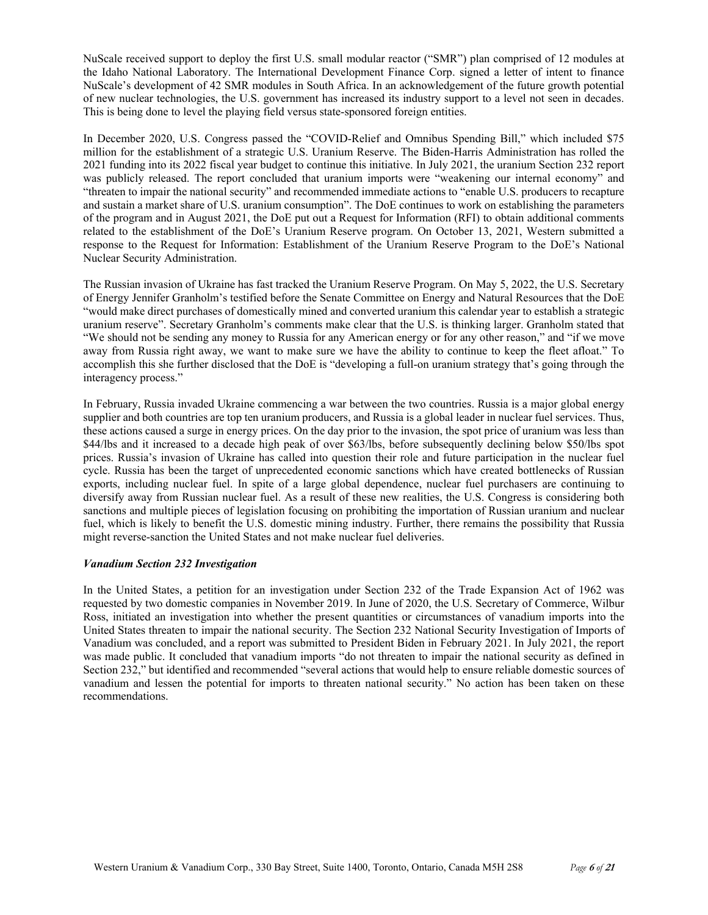NuScale received support to deploy the first U.S. small modular reactor ("SMR") plan comprised of 12 modules at the Idaho National Laboratory. The International Development Finance Corp. signed a letter of intent to finance NuScale's development of 42 SMR modules in South Africa. In an acknowledgement of the future growth potential of new nuclear technologies, the U.S. government has increased its industry support to a level not seen in decades. This is being done to level the playing field versus state-sponsored foreign entities.

In December 2020, U.S. Congress passed the "COVID-Relief and Omnibus Spending Bill," which included \$75 million for the establishment of a strategic U.S. Uranium Reserve. The Biden-Harris Administration has rolled the 2021 funding into its 2022 fiscal year budget to continue this initiative. In July 2021, the uranium Section 232 report was publicly released. The report concluded that uranium imports were "weakening our internal economy" and "threaten to impair the national security" and recommended immediate actions to "enable U.S. producers to recapture and sustain a market share of U.S. uranium consumption". The DoE continues to work on establishing the parameters of the program and in August 2021, the DoE put out a Request for Information (RFI) to obtain additional comments related to the establishment of the DoE's Uranium Reserve program. On October 13, 2021, Western submitted a response to the Request for Information: Establishment of the Uranium Reserve Program to the DoE's National Nuclear Security Administration.

The Russian invasion of Ukraine has fast tracked the Uranium Reserve Program. On May 5, 2022, the U.S. Secretary of Energy Jennifer Granholm's testified before the Senate Committee on Energy and Natural Resources that the DoE "would make direct purchases of domestically mined and converted uranium this calendar year to establish a strategic uranium reserve". Secretary Granholm's comments make clear that the U.S. is thinking larger. Granholm stated that "We should not be sending any money to Russia for any American energy or for any other reason," and "if we move away from Russia right away, we want to make sure we have the ability to continue to keep the fleet afloat." To accomplish this she further disclosed that the DoE is "developing a full-on uranium strategy that's going through the interagency process."

In February, Russia invaded Ukraine commencing a war between the two countries. Russia is a major global energy supplier and both countries are top ten uranium producers, and Russia is a global leader in nuclear fuel services. Thus, these actions caused a surge in energy prices. On the day prior to the invasion, the spot price of uranium was less than \$44/lbs and it increased to a decade high peak of over \$63/lbs, before subsequently declining below \$50/lbs spot prices. Russia's invasion of Ukraine has called into question their role and future participation in the nuclear fuel cycle. Russia has been the target of unprecedented economic sanctions which have created bottlenecks of Russian exports, including nuclear fuel. In spite of a large global dependence, nuclear fuel purchasers are continuing to diversify away from Russian nuclear fuel. As a result of these new realities, the U.S. Congress is considering both sanctions and multiple pieces of legislation focusing on prohibiting the importation of Russian uranium and nuclear fuel, which is likely to benefit the U.S. domestic mining industry. Further, there remains the possibility that Russia might reverse-sanction the United States and not make nuclear fuel deliveries.

### *Vanadium Section 232 Investigation*

In the United States, a petition for an investigation under Section 232 of the Trade Expansion Act of 1962 was requested by two domestic companies in November 2019. In June of 2020, the U.S. Secretary of Commerce, Wilbur Ross, initiated an investigation into whether the present quantities or circumstances of vanadium imports into the United States threaten to impair the national security. The Section 232 National Security Investigation of Imports of Vanadium was concluded, and a report was submitted to President Biden in February 2021. In July 2021, the report was made public. It concluded that vanadium imports "do not threaten to impair the national security as defined in Section 232," but identified and recommended "several actions that would help to ensure reliable domestic sources of vanadium and lessen the potential for imports to threaten national security." No action has been taken on these recommendations.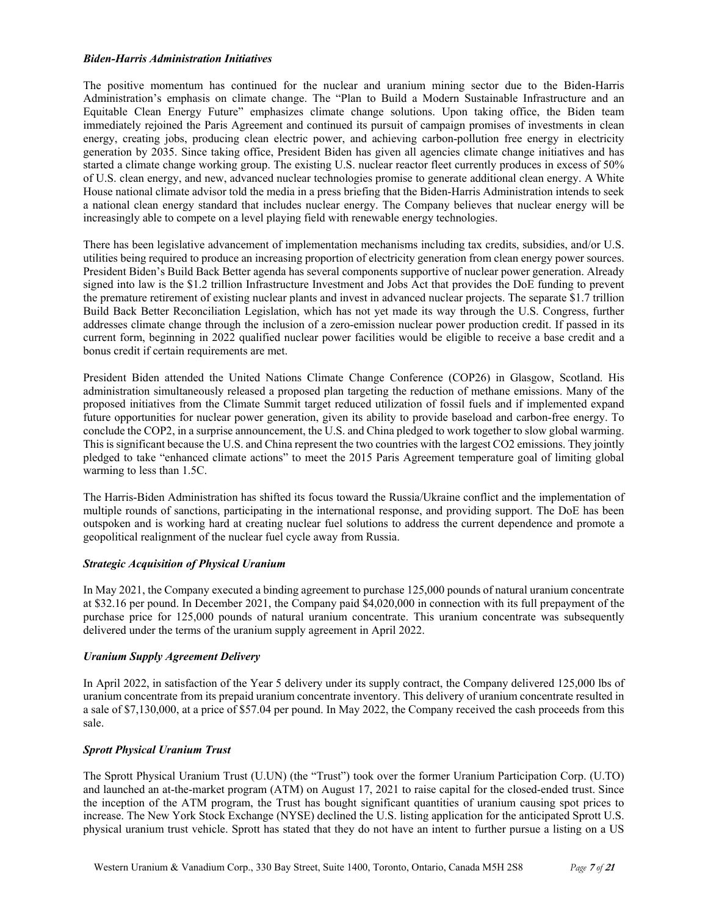### *Biden-Harris Administration Initiatives*

The positive momentum has continued for the nuclear and uranium mining sector due to the Biden-Harris Administration's emphasis on climate change. The "Plan to Build a Modern Sustainable Infrastructure and an Equitable Clean Energy Future" emphasizes climate change solutions. Upon taking office, the Biden team immediately rejoined the Paris Agreement and continued its pursuit of campaign promises of investments in clean energy, creating jobs, producing clean electric power, and achieving carbon-pollution free energy in electricity generation by 2035. Since taking office, President Biden has given all agencies climate change initiatives and has started a climate change working group. The existing U.S. nuclear reactor fleet currently produces in excess of 50% of U.S. clean energy, and new, advanced nuclear technologies promise to generate additional clean energy. A White House national climate advisor told the media in a press briefing that the Biden-Harris Administration intends to seek a national clean energy standard that includes nuclear energy. The Company believes that nuclear energy will be increasingly able to compete on a level playing field with renewable energy technologies.

There has been legislative advancement of implementation mechanisms including tax credits, subsidies, and/or U.S. utilities being required to produce an increasing proportion of electricity generation from clean energy power sources. President Biden's Build Back Better agenda has several components supportive of nuclear power generation. Already signed into law is the \$1.2 trillion Infrastructure Investment and Jobs Act that provides the DoE funding to prevent the premature retirement of existing nuclear plants and invest in advanced nuclear projects. The separate \$1.7 trillion Build Back Better Reconciliation Legislation, which has not yet made its way through the U.S. Congress, further addresses climate change through the inclusion of a zero-emission nuclear power production credit. If passed in its current form, beginning in 2022 qualified nuclear power facilities would be eligible to receive a base credit and a bonus credit if certain requirements are met.

President Biden attended the United Nations Climate Change Conference (COP26) in Glasgow, Scotland. His administration simultaneously released a proposed plan targeting the reduction of methane emissions. Many of the proposed initiatives from the Climate Summit target reduced utilization of fossil fuels and if implemented expand future opportunities for nuclear power generation, given its ability to provide baseload and carbon-free energy. To conclude the COP2, in a surprise announcement, the U.S. and China pledged to work together to slow global warming. This is significant because the U.S. and China represent the two countries with the largest CO2 emissions. They jointly pledged to take "enhanced climate actions" to meet the 2015 Paris Agreement temperature goal of limiting global warming to less than 1.5C.

The Harris-Biden Administration has shifted its focus toward the Russia/Ukraine conflict and the implementation of multiple rounds of sanctions, participating in the international response, and providing support. The DoE has been outspoken and is working hard at creating nuclear fuel solutions to address the current dependence and promote a geopolitical realignment of the nuclear fuel cycle away from Russia.

# *Strategic Acquisition of Physical Uranium*

In May 2021, the Company executed a binding agreement to purchase 125,000 pounds of natural uranium concentrate at \$32.16 per pound. In December 2021, the Company paid \$4,020,000 in connection with its full prepayment of the purchase price for 125,000 pounds of natural uranium concentrate. This uranium concentrate was subsequently delivered under the terms of the uranium supply agreement in April 2022.

# *Uranium Supply Agreement Delivery*

In April 2022, in satisfaction of the Year 5 delivery under its supply contract, the Company delivered 125,000 lbs of uranium concentrate from its prepaid uranium concentrate inventory. This delivery of uranium concentrate resulted in a sale of \$7,130,000, at a price of \$57.04 per pound. In May 2022, the Company received the cash proceeds from this sale.

# *Sprott Physical Uranium Trust*

The Sprott Physical Uranium Trust (U.UN) (the "Trust") took over the former Uranium Participation Corp. (U.TO) and launched an at-the-market program (ATM) on August 17, 2021 to raise capital for the closed-ended trust. Since the inception of the ATM program, the Trust has bought significant quantities of uranium causing spot prices to increase. The New York Stock Exchange (NYSE) declined the U.S. listing application for the anticipated Sprott U.S. physical uranium trust vehicle. Sprott has stated that they do not have an intent to further pursue a listing on a US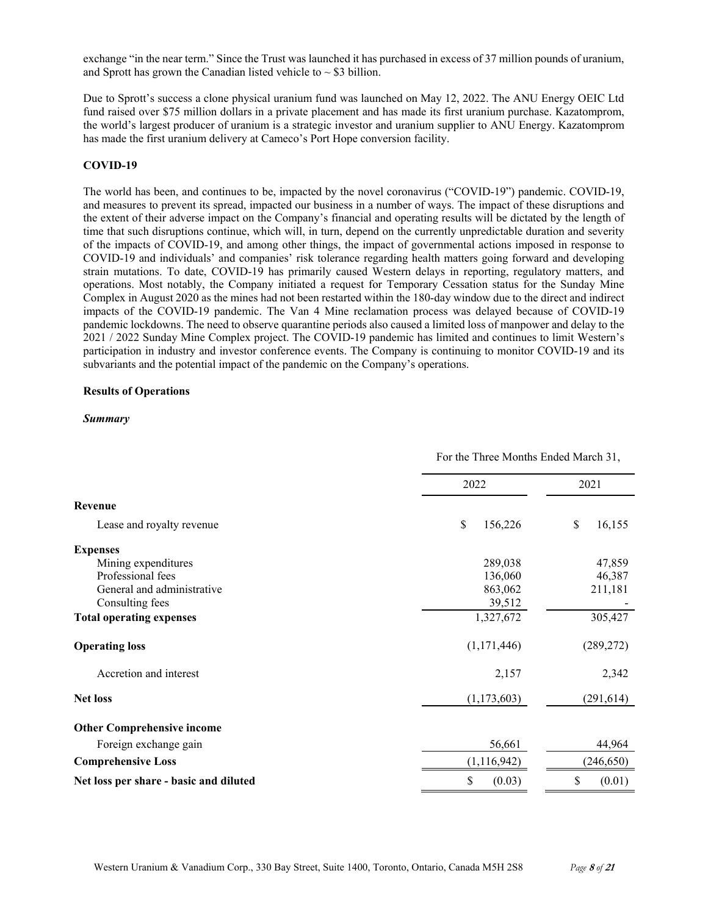exchange "in the near term." Since the Trust was launched it has purchased in excess of 37 million pounds of uranium, and Sprott has grown the Canadian listed vehicle to  $\sim$  \$3 billion.

Due to Sprott's success a clone physical uranium fund was launched on May 12, 2022. The ANU Energy OEIC Ltd fund raised over \$75 million dollars in a private placement and has made its first uranium purchase. Kazatomprom, the world's largest producer of uranium is a strategic investor and uranium supplier to ANU Energy. Kazatomprom has made the first uranium delivery at Cameco's Port Hope conversion facility.

## **COVID-19**

The world has been, and continues to be, impacted by the novel coronavirus ("COVID-19") pandemic. COVID-19, and measures to prevent its spread, impacted our business in a number of ways. The impact of these disruptions and the extent of their adverse impact on the Company's financial and operating results will be dictated by the length of time that such disruptions continue, which will, in turn, depend on the currently unpredictable duration and severity of the impacts of COVID-19, and among other things, the impact of governmental actions imposed in response to COVID-19 and individuals' and companies' risk tolerance regarding health matters going forward and developing strain mutations. To date, COVID-19 has primarily caused Western delays in reporting, regulatory matters, and operations. Most notably, the Company initiated a request for Temporary Cessation status for the Sunday Mine Complex in August 2020 as the mines had not been restarted within the 180-day window due to the direct and indirect impacts of the COVID-19 pandemic. The Van 4 Mine reclamation process was delayed because of COVID-19 pandemic lockdowns. The need to observe quarantine periods also caused a limited loss of manpower and delay to the 2021 / 2022 Sunday Mine Complex project. The COVID-19 pandemic has limited and continues to limit Western's participation in industry and investor conference events. The Company is continuing to monitor COVID-19 and its subvariants and the potential impact of the pandemic on the Company's operations.

### **Results of Operations**

### *Summary*

|                                        |               | For the Three Months Ended March 31, |  |  |
|----------------------------------------|---------------|--------------------------------------|--|--|
|                                        | 2022          | 2021                                 |  |  |
| Revenue                                |               |                                      |  |  |
| Lease and royalty revenue              | \$<br>156,226 | \$<br>16,155                         |  |  |
| <b>Expenses</b>                        |               |                                      |  |  |
| Mining expenditures                    | 289,038       | 47,859                               |  |  |
| Professional fees                      | 136,060       | 46,387                               |  |  |
| General and administrative             | 863,062       | 211,181                              |  |  |
| Consulting fees                        | 39,512        |                                      |  |  |
| <b>Total operating expenses</b>        | 1,327,672     | 305,427                              |  |  |
| <b>Operating loss</b>                  | (1,171,446)   | (289, 272)                           |  |  |
| Accretion and interest                 | 2,157         | 2,342                                |  |  |
| <b>Net loss</b>                        | (1, 173, 603) | (291, 614)                           |  |  |
| <b>Other Comprehensive income</b>      |               |                                      |  |  |
| Foreign exchange gain                  | 56,661        | 44,964                               |  |  |
| <b>Comprehensive Loss</b>              | (1, 116, 942) | (246, 650)                           |  |  |
| Net loss per share - basic and diluted | \$<br>(0.03)  | \$<br>(0.01)                         |  |  |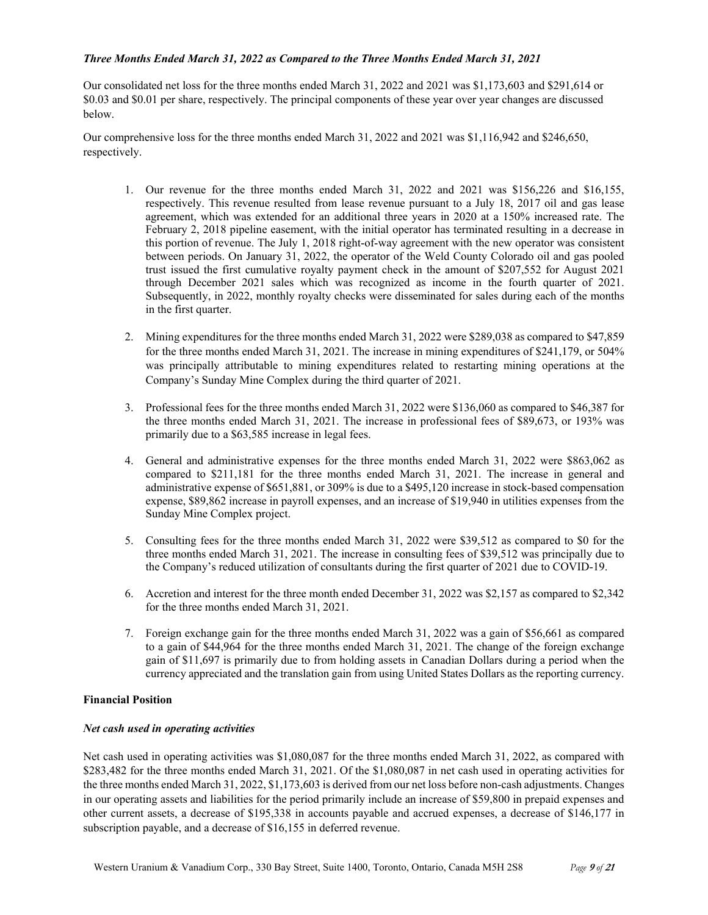## *Three Months Ended March 31, 2022 as Compared to the Three Months Ended March 31, 2021*

Our consolidated net loss for the three months ended March 31, 2022 and 2021 was \$1,173,603 and \$291,614 or \$0.03 and \$0.01 per share, respectively. The principal components of these year over year changes are discussed below.

Our comprehensive loss for the three months ended March 31, 2022 and 2021 was \$1,116,942 and \$246,650, respectively.

- 1. Our revenue for the three months ended March 31, 2022 and 2021 was \$156,226 and \$16,155, respectively. This revenue resulted from lease revenue pursuant to a July 18, 2017 oil and gas lease agreement, which was extended for an additional three years in 2020 at a 150% increased rate. The February 2, 2018 pipeline easement, with the initial operator has terminated resulting in a decrease in this portion of revenue. The July 1, 2018 right-of-way agreement with the new operator was consistent between periods. On January 31, 2022, the operator of the Weld County Colorado oil and gas pooled trust issued the first cumulative royalty payment check in the amount of \$207,552 for August 2021 through December 2021 sales which was recognized as income in the fourth quarter of 2021. Subsequently, in 2022, monthly royalty checks were disseminated for sales during each of the months in the first quarter.
- 2. Mining expenditures for the three months ended March 31, 2022 were \$289,038 as compared to \$47,859 for the three months ended March 31, 2021. The increase in mining expenditures of \$241,179, or 504% was principally attributable to mining expenditures related to restarting mining operations at the Company's Sunday Mine Complex during the third quarter of 2021.
- 3. Professional fees for the three months ended March 31, 2022 were \$136,060 as compared to \$46,387 for the three months ended March 31, 2021. The increase in professional fees of \$89,673, or 193% was primarily due to a \$63,585 increase in legal fees.
- 4. General and administrative expenses for the three months ended March 31, 2022 were \$863,062 as compared to \$211,181 for the three months ended March 31, 2021. The increase in general and administrative expense of \$651,881, or 309% is due to a \$495,120 increase in stock-based compensation expense, \$89,862 increase in payroll expenses, and an increase of \$19,940 in utilities expenses from the Sunday Mine Complex project.
- 5. Consulting fees for the three months ended March 31, 2022 were \$39,512 as compared to \$0 for the three months ended March 31, 2021. The increase in consulting fees of \$39,512 was principally due to the Company's reduced utilization of consultants during the first quarter of 2021 due to COVID-19.
- 6. Accretion and interest for the three month ended December 31, 2022 was \$2,157 as compared to \$2,342 for the three months ended March 31, 2021.
- 7. Foreign exchange gain for the three months ended March 31, 2022 was a gain of \$56,661 as compared to a gain of \$44,964 for the three months ended March 31, 2021. The change of the foreign exchange gain of \$11,697 is primarily due to from holding assets in Canadian Dollars during a period when the currency appreciated and the translation gain from using United States Dollars as the reporting currency.

# **Financial Position**

### *Net cash used in operating activities*

Net cash used in operating activities was \$1,080,087 for the three months ended March 31, 2022, as compared with \$283,482 for the three months ended March 31, 2021. Of the \$1,080,087 in net cash used in operating activities for the three months ended March 31, 2022, \$1,173,603 is derived from our net loss before non-cash adjustments. Changes in our operating assets and liabilities for the period primarily include an increase of \$59,800 in prepaid expenses and other current assets, a decrease of \$195,338 in accounts payable and accrued expenses, a decrease of \$146,177 in subscription payable, and a decrease of \$16,155 in deferred revenue.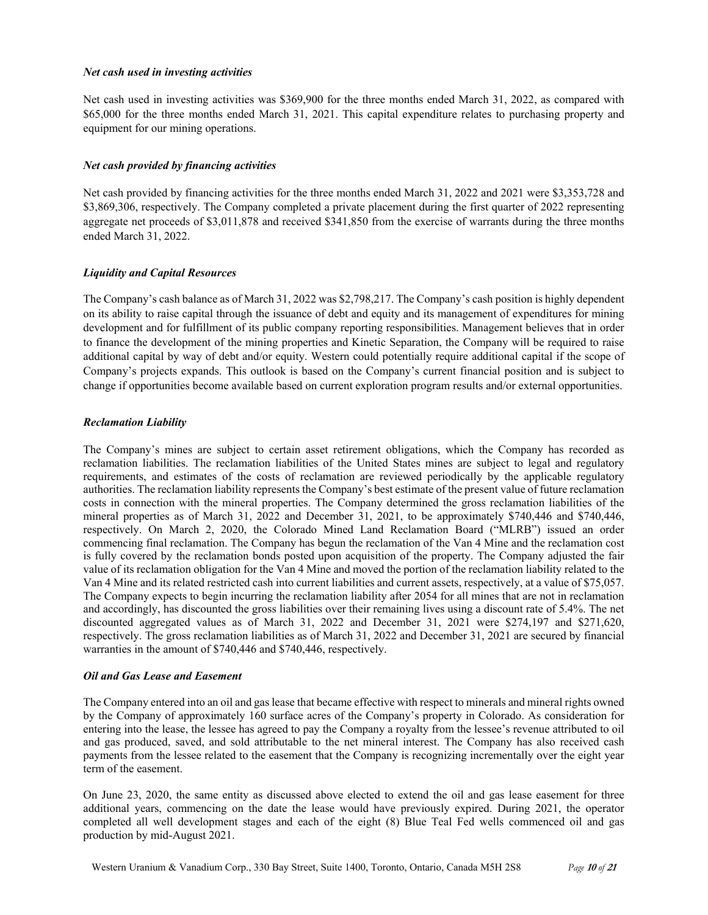### *Net cash used in investing activities*

Net cash used in investing activities was \$369,900 for the three months ended March 31, 2022, as compared with \$65,000 for the three months ended March 31, 2021. This capital expenditure relates to purchasing property and equipment for our mining operations.

## *Net cash provided by financing activities*

Net cash provided by financing activities for the three months ended March 31, 2022 and 2021 were \$3,353,728 and \$3,869,306, respectively. The Company completed a private placement during the first quarter of 2022 representing aggregate net proceeds of \$3,011,878 and received \$341,850 from the exercise of warrants during the three months ended March 31, 2022.

## *Liquidity and Capital Resources*

The Company's cash balance as of March 31, 2022 was \$2,798,217. The Company's cash position is highly dependent on its ability to raise capital through the issuance of debt and equity and its management of expenditures for mining development and for fulfillment of its public company reporting responsibilities. Management believes that in order to finance the development of the mining properties and Kinetic Separation, the Company will be required to raise additional capital by way of debt and/or equity. Western could potentially require additional capital if the scope of Company's projects expands. This outlook is based on the Company's current financial position and is subject to change if opportunities become available based on current exploration program results and/or external opportunities.

## *Reclamation Liability*

The Company's mines are subject to certain asset retirement obligations, which the Company has recorded as reclamation liabilities. The reclamation liabilities of the United States mines are subject to legal and regulatory requirements, and estimates of the costs of reclamation are reviewed periodically by the applicable regulatory authorities. The reclamation liability represents the Company's best estimate of the present value of future reclamation costs in connection with the mineral properties. The Company determined the gross reclamation liabilities of the mineral properties as of March 31, 2022 and December 31, 2021, to be approximately \$740,446 and \$740,446, respectively. On March 2, 2020, the Colorado Mined Land Reclamation Board ("MLRB") issued an order commencing final reclamation. The Company has begun the reclamation of the Van 4 Mine and the reclamation cost is fully covered by the reclamation bonds posted upon acquisition of the property. The Company adjusted the fair value of its reclamation obligation for the Van 4 Mine and moved the portion of the reclamation liability related to the Van 4 Mine and its related restricted cash into current liabilities and current assets, respectively, at a value of \$75,057. The Company expects to begin incurring the reclamation liability after 2054 for all mines that are not in reclamation and accordingly, has discounted the gross liabilities over their remaining lives using a discount rate of 5.4%. The net discounted aggregated values as of March 31, 2022 and December 31, 2021 were \$274,197 and \$271,620, respectively. The gross reclamation liabilities as of March 31, 2022 and December 31, 2021 are secured by financial warranties in the amount of \$740,446 and \$740,446, respectively.

## *Oil and Gas Lease and Easement*

The Company entered into an oil and gas lease that became effective with respect to minerals and mineral rights owned by the Company of approximately 160 surface acres of the Company's property in Colorado. As consideration for entering into the lease, the lessee has agreed to pay the Company a royalty from the lessee's revenue attributed to oil and gas produced, saved, and sold attributable to the net mineral interest. The Company has also received cash payments from the lessee related to the easement that the Company is recognizing incrementally over the eight year term of the easement.

On June 23, 2020, the same entity as discussed above elected to extend the oil and gas lease easement for three additional years, commencing on the date the lease would have previously expired. During 2021, the operator completed all well development stages and each of the eight (8) Blue Teal Fed wells commenced oil and gas production by mid-August 2021.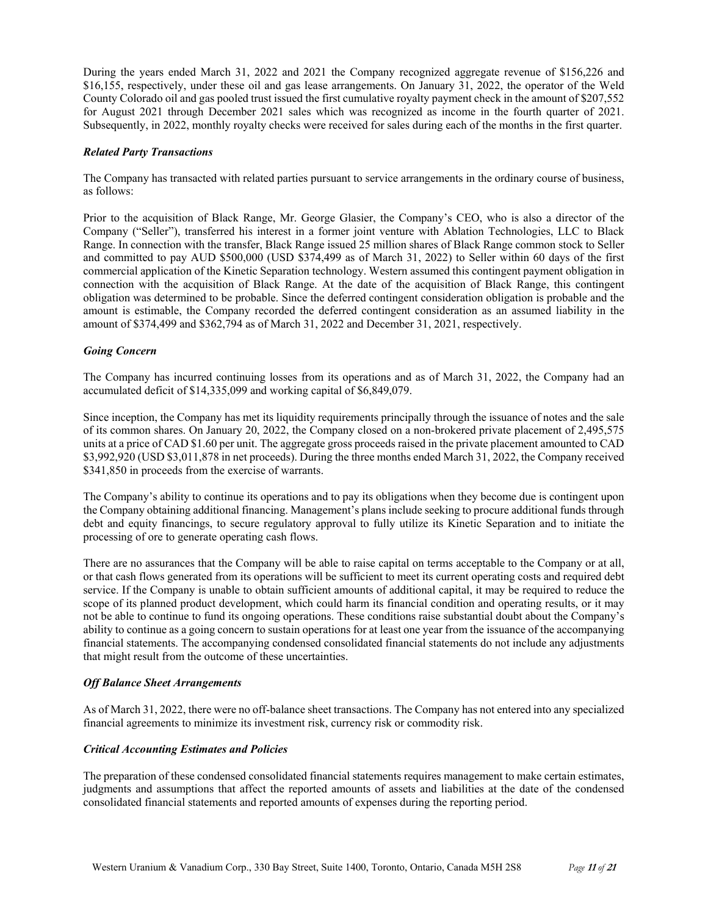During the years ended March 31, 2022 and 2021 the Company recognized aggregate revenue of \$156,226 and \$16,155, respectively, under these oil and gas lease arrangements. On January 31, 2022, the operator of the Weld County Colorado oil and gas pooled trust issued the first cumulative royalty payment check in the amount of \$207,552 for August 2021 through December 2021 sales which was recognized as income in the fourth quarter of 2021. Subsequently, in 2022, monthly royalty checks were received for sales during each of the months in the first quarter.

## *Related Party Transactions*

The Company has transacted with related parties pursuant to service arrangements in the ordinary course of business, as follows:

Prior to the acquisition of Black Range, Mr. George Glasier, the Company's CEO, who is also a director of the Company ("Seller"), transferred his interest in a former joint venture with Ablation Technologies, LLC to Black Range. In connection with the transfer, Black Range issued 25 million shares of Black Range common stock to Seller and committed to pay AUD \$500,000 (USD \$374,499 as of March 31, 2022) to Seller within 60 days of the first commercial application of the Kinetic Separation technology. Western assumed this contingent payment obligation in connection with the acquisition of Black Range. At the date of the acquisition of Black Range, this contingent obligation was determined to be probable. Since the deferred contingent consideration obligation is probable and the amount is estimable, the Company recorded the deferred contingent consideration as an assumed liability in the amount of \$374,499 and \$362,794 as of March 31, 2022 and December 31, 2021, respectively.

## *Going Concern*

The Company has incurred continuing losses from its operations and as of March 31, 2022, the Company had an accumulated deficit of \$14,335,099 and working capital of \$6,849,079.

Since inception, the Company has met its liquidity requirements principally through the issuance of notes and the sale of its common shares. On January 20, 2022, the Company closed on a non-brokered private placement of 2,495,575 units at a price of CAD \$1.60 per unit. The aggregate gross proceeds raised in the private placement amounted to CAD \$3,992,920 (USD \$3,011,878 in net proceeds). During the three months ended March 31, 2022, the Company received \$341,850 in proceeds from the exercise of warrants.

The Company's ability to continue its operations and to pay its obligations when they become due is contingent upon the Company obtaining additional financing. Management's plans include seeking to procure additional funds through debt and equity financings, to secure regulatory approval to fully utilize its Kinetic Separation and to initiate the processing of ore to generate operating cash flows.

There are no assurances that the Company will be able to raise capital on terms acceptable to the Company or at all, or that cash flows generated from its operations will be sufficient to meet its current operating costs and required debt service. If the Company is unable to obtain sufficient amounts of additional capital, it may be required to reduce the scope of its planned product development, which could harm its financial condition and operating results, or it may not be able to continue to fund its ongoing operations. These conditions raise substantial doubt about the Company's ability to continue as a going concern to sustain operations for at least one year from the issuance of the accompanying financial statements. The accompanying condensed consolidated financial statements do not include any adjustments that might result from the outcome of these uncertainties.

# *Off Balance Sheet Arrangements*

As of March 31, 2022, there were no off-balance sheet transactions. The Company has not entered into any specialized financial agreements to minimize its investment risk, currency risk or commodity risk.

## *Critical Accounting Estimates and Policies*

The preparation of these condensed consolidated financial statements requires management to make certain estimates, judgments and assumptions that affect the reported amounts of assets and liabilities at the date of the condensed consolidated financial statements and reported amounts of expenses during the reporting period.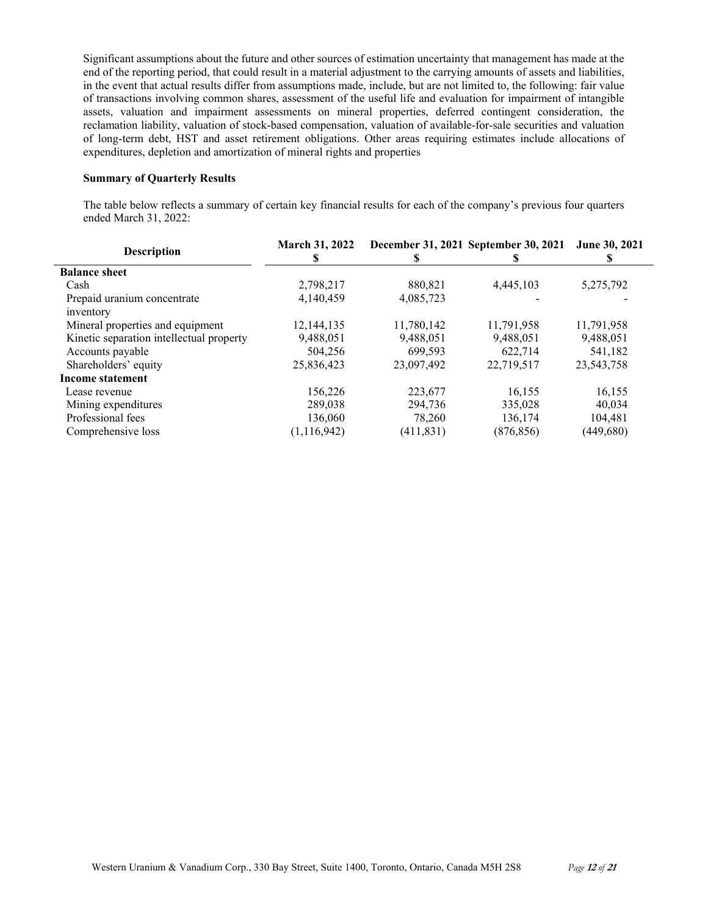Significant assumptions about the future and other sources of estimation uncertainty that management has made at the end of the reporting period, that could result in a material adjustment to the carrying amounts of assets and liabilities, in the event that actual results differ from assumptions made, include, but are not limited to, the following: fair value of transactions involving common shares, assessment of the useful life and evaluation for impairment of intangible assets, valuation and impairment assessments on mineral properties, deferred contingent consideration, the reclamation liability, valuation of stock-based compensation, valuation of available-for-sale securities and valuation of long-term debt, HST and asset retirement obligations. Other areas requiring estimates include allocations of expenditures, depletion and amortization of mineral rights and properties

## **Summary of Quarterly Results**

The table below reflects a summary of certain key financial results for each of the company's previous four quarters ended March 31, 2022:

| <b>Description</b>                       | <b>March 31, 2022</b><br>ъ |            | December 31, 2021 September 30, 2021 | <b>June 30, 2021</b> |
|------------------------------------------|----------------------------|------------|--------------------------------------|----------------------|
| <b>Balance sheet</b>                     |                            |            |                                      |                      |
| Cash                                     | 2,798,217                  | 880,821    | 4,445,103                            | 5,275,792            |
| Prepaid uranium concentrate<br>inventory | 4,140,459                  | 4,085,723  |                                      |                      |
| Mineral properties and equipment         | 12,144,135                 | 11,780,142 | 11,791,958                           | 11,791,958           |
| Kinetic separation intellectual property | 9,488,051                  | 9,488,051  | 9,488,051                            | 9,488,051            |
| Accounts payable                         | 504.256                    | 699.593    | 622,714                              | 541,182              |
| Shareholders' equity                     | 25,836,423                 | 23,097,492 | 22,719,517                           | 23,543,758           |
| <b>Income statement</b>                  |                            |            |                                      |                      |
| Lease revenue                            | 156,226                    | 223,677    | 16.155                               | 16,155               |
| Mining expenditures                      | 289,038                    | 294.736    | 335,028                              | 40.034               |
| Professional fees                        | 136,060                    | 78,260     | 136,174                              | 104,481              |
| Comprehensive loss                       | (1, 116, 942)              | (411, 831) | (876, 856)                           | (449, 680)           |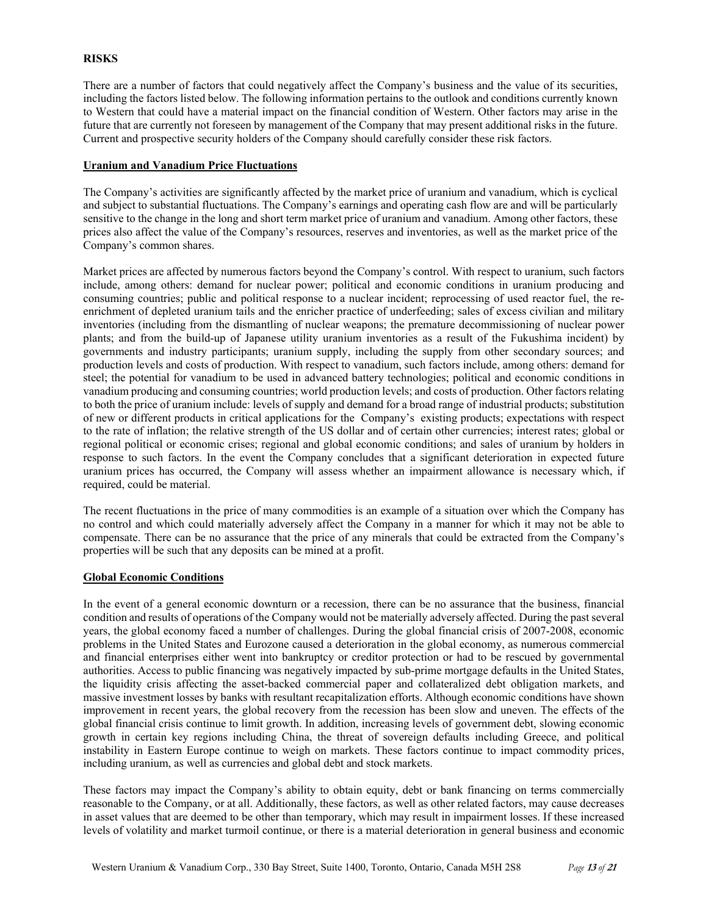## **RISKS**

There are a number of factors that could negatively affect the Company's business and the value of its securities, including the factors listed below. The following information pertains to the outlook and conditions currently known to Western that could have a material impact on the financial condition of Western. Other factors may arise in the future that are currently not foreseen by management of the Company that may present additional risks in the future. Current and prospective security holders of the Company should carefully consider these risk factors.

## **Uranium and Vanadium Price Fluctuations**

The Company's activities are significantly affected by the market price of uranium and vanadium, which is cyclical and subject to substantial fluctuations. The Company's earnings and operating cash flow are and will be particularly sensitive to the change in the long and short term market price of uranium and vanadium. Among other factors, these prices also affect the value of the Company's resources, reserves and inventories, as well as the market price of the Company's common shares.

Market prices are affected by numerous factors beyond the Company's control. With respect to uranium, such factors include, among others: demand for nuclear power; political and economic conditions in uranium producing and consuming countries; public and political response to a nuclear incident; reprocessing of used reactor fuel, the reenrichment of depleted uranium tails and the enricher practice of underfeeding; sales of excess civilian and military inventories (including from the dismantling of nuclear weapons; the premature decommissioning of nuclear power plants; and from the build-up of Japanese utility uranium inventories as a result of the Fukushima incident) by governments and industry participants; uranium supply, including the supply from other secondary sources; and production levels and costs of production. With respect to vanadium, such factors include, among others: demand for steel; the potential for vanadium to be used in advanced battery technologies; political and economic conditions in vanadium producing and consuming countries; world production levels; and costs of production. Other factors relating to both the price of uranium include: levels of supply and demand for a broad range of industrial products; substitution of new or different products in critical applications for the Company's existing products; expectations with respect to the rate of inflation; the relative strength of the US dollar and of certain other currencies; interest rates; global or regional political or economic crises; regional and global economic conditions; and sales of uranium by holders in response to such factors. In the event the Company concludes that a significant deterioration in expected future uranium prices has occurred, the Company will assess whether an impairment allowance is necessary which, if required, could be material.

The recent fluctuations in the price of many commodities is an example of a situation over which the Company has no control and which could materially adversely affect the Company in a manner for which it may not be able to compensate. There can be no assurance that the price of any minerals that could be extracted from the Company's properties will be such that any deposits can be mined at a profit.

### **Global Economic Conditions**

In the event of a general economic downturn or a recession, there can be no assurance that the business, financial condition and results of operations of the Company would not be materially adversely affected. During the past several years, the global economy faced a number of challenges. During the global financial crisis of 2007-2008, economic problems in the United States and Eurozone caused a deterioration in the global economy, as numerous commercial and financial enterprises either went into bankruptcy or creditor protection or had to be rescued by governmental authorities. Access to public financing was negatively impacted by sub-prime mortgage defaults in the United States, the liquidity crisis affecting the asset-backed commercial paper and collateralized debt obligation markets, and massive investment losses by banks with resultant recapitalization efforts. Although economic conditions have shown improvement in recent years, the global recovery from the recession has been slow and uneven. The effects of the global financial crisis continue to limit growth. In addition, increasing levels of government debt, slowing economic growth in certain key regions including China, the threat of sovereign defaults including Greece, and political instability in Eastern Europe continue to weigh on markets. These factors continue to impact commodity prices, including uranium, as well as currencies and global debt and stock markets.

These factors may impact the Company's ability to obtain equity, debt or bank financing on terms commercially reasonable to the Company, or at all. Additionally, these factors, as well as other related factors, may cause decreases in asset values that are deemed to be other than temporary, which may result in impairment losses. If these increased levels of volatility and market turmoil continue, or there is a material deterioration in general business and economic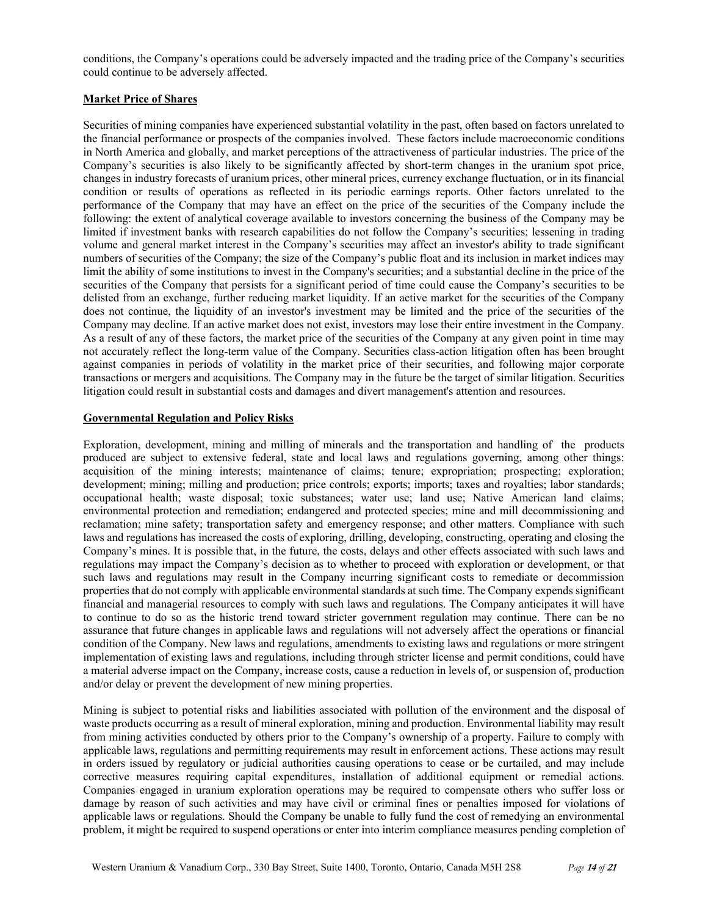conditions, the Company's operations could be adversely impacted and the trading price of the Company's securities could continue to be adversely affected.

# **Market Price of Shares**

Securities of mining companies have experienced substantial volatility in the past, often based on factors unrelated to the financial performance or prospects of the companies involved. These factors include macroeconomic conditions in North America and globally, and market perceptions of the attractiveness of particular industries. The price of the Company's securities is also likely to be significantly affected by short-term changes in the uranium spot price, changes in industry forecasts of uranium prices, other mineral prices, currency exchange fluctuation, or in its financial condition or results of operations as reflected in its periodic earnings reports. Other factors unrelated to the performance of the Company that may have an effect on the price of the securities of the Company include the following: the extent of analytical coverage available to investors concerning the business of the Company may be limited if investment banks with research capabilities do not follow the Company's securities; lessening in trading volume and general market interest in the Company's securities may affect an investor's ability to trade significant numbers of securities of the Company; the size of the Company's public float and its inclusion in market indices may limit the ability of some institutions to invest in the Company's securities; and a substantial decline in the price of the securities of the Company that persists for a significant period of time could cause the Company's securities to be delisted from an exchange, further reducing market liquidity. If an active market for the securities of the Company does not continue, the liquidity of an investor's investment may be limited and the price of the securities of the Company may decline. If an active market does not exist, investors may lose their entire investment in the Company. As a result of any of these factors, the market price of the securities of the Company at any given point in time may not accurately reflect the long-term value of the Company. Securities class-action litigation often has been brought against companies in periods of volatility in the market price of their securities, and following major corporate transactions or mergers and acquisitions. The Company may in the future be the target of similar litigation. Securities litigation could result in substantial costs and damages and divert management's attention and resources.

## **Governmental Regulation and Policy Risks**

Exploration, development, mining and milling of minerals and the transportation and handling of the products produced are subject to extensive federal, state and local laws and regulations governing, among other things: acquisition of the mining interests; maintenance of claims; tenure; expropriation; prospecting; exploration; development; mining; milling and production; price controls; exports; imports; taxes and royalties; labor standards; occupational health; waste disposal; toxic substances; water use; land use; Native American land claims; environmental protection and remediation; endangered and protected species; mine and mill decommissioning and reclamation; mine safety; transportation safety and emergency response; and other matters. Compliance with such laws and regulations has increased the costs of exploring, drilling, developing, constructing, operating and closing the Company's mines. It is possible that, in the future, the costs, delays and other effects associated with such laws and regulations may impact the Company's decision as to whether to proceed with exploration or development, or that such laws and regulations may result in the Company incurring significant costs to remediate or decommission properties that do not comply with applicable environmental standards at such time. The Company expends significant financial and managerial resources to comply with such laws and regulations. The Company anticipates it will have to continue to do so as the historic trend toward stricter government regulation may continue. There can be no assurance that future changes in applicable laws and regulations will not adversely affect the operations or financial condition of the Company. New laws and regulations, amendments to existing laws and regulations or more stringent implementation of existing laws and regulations, including through stricter license and permit conditions, could have a material adverse impact on the Company, increase costs, cause a reduction in levels of, or suspension of, production and/or delay or prevent the development of new mining properties.

Mining is subject to potential risks and liabilities associated with pollution of the environment and the disposal of waste products occurring as a result of mineral exploration, mining and production. Environmental liability may result from mining activities conducted by others prior to the Company's ownership of a property. Failure to comply with applicable laws, regulations and permitting requirements may result in enforcement actions. These actions may result in orders issued by regulatory or judicial authorities causing operations to cease or be curtailed, and may include corrective measures requiring capital expenditures, installation of additional equipment or remedial actions. Companies engaged in uranium exploration operations may be required to compensate others who suffer loss or damage by reason of such activities and may have civil or criminal fines or penalties imposed for violations of applicable laws or regulations. Should the Company be unable to fully fund the cost of remedying an environmental problem, it might be required to suspend operations or enter into interim compliance measures pending completion of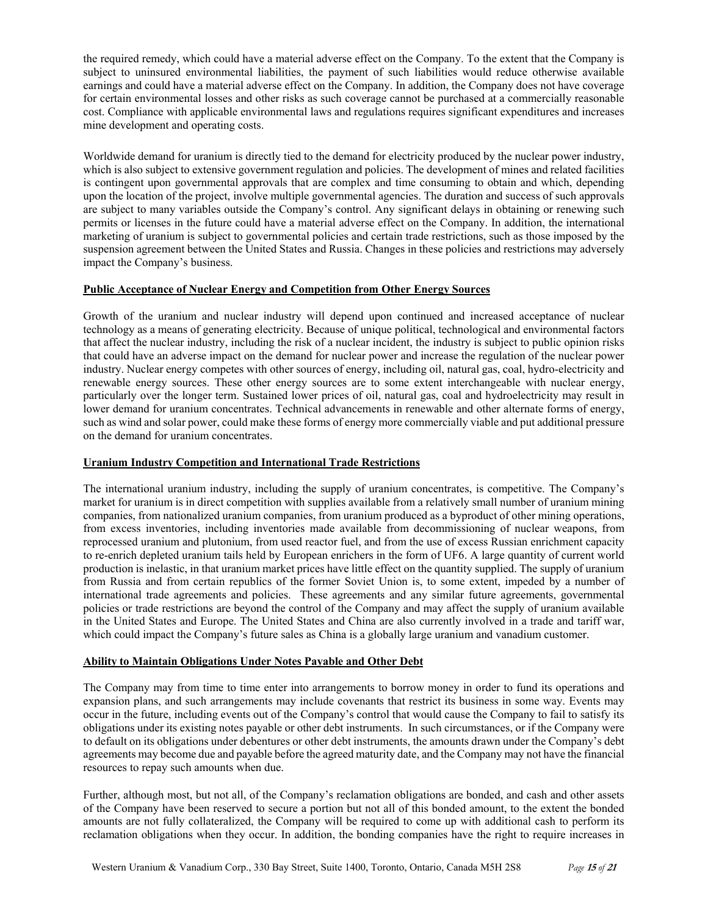the required remedy, which could have a material adverse effect on the Company. To the extent that the Company is subject to uninsured environmental liabilities, the payment of such liabilities would reduce otherwise available earnings and could have a material adverse effect on the Company. In addition, the Company does not have coverage for certain environmental losses and other risks as such coverage cannot be purchased at a commercially reasonable cost. Compliance with applicable environmental laws and regulations requires significant expenditures and increases mine development and operating costs.

Worldwide demand for uranium is directly tied to the demand for electricity produced by the nuclear power industry, which is also subject to extensive government regulation and policies. The development of mines and related facilities is contingent upon governmental approvals that are complex and time consuming to obtain and which, depending upon the location of the project, involve multiple governmental agencies. The duration and success of such approvals are subject to many variables outside the Company's control. Any significant delays in obtaining or renewing such permits or licenses in the future could have a material adverse effect on the Company. In addition, the international marketing of uranium is subject to governmental policies and certain trade restrictions, such as those imposed by the suspension agreement between the United States and Russia. Changes in these policies and restrictions may adversely impact the Company's business.

# **Public Acceptance of Nuclear Energy and Competition from Other Energy Sources**

Growth of the uranium and nuclear industry will depend upon continued and increased acceptance of nuclear technology as a means of generating electricity. Because of unique political, technological and environmental factors that affect the nuclear industry, including the risk of a nuclear incident, the industry is subject to public opinion risks that could have an adverse impact on the demand for nuclear power and increase the regulation of the nuclear power industry. Nuclear energy competes with other sources of energy, including oil, natural gas, coal, hydro-electricity and renewable energy sources. These other energy sources are to some extent interchangeable with nuclear energy, particularly over the longer term. Sustained lower prices of oil, natural gas, coal and hydroelectricity may result in lower demand for uranium concentrates. Technical advancements in renewable and other alternate forms of energy, such as wind and solar power, could make these forms of energy more commercially viable and put additional pressure on the demand for uranium concentrates.

# **Uranium Industry Competition and International Trade Restrictions**

The international uranium industry, including the supply of uranium concentrates, is competitive. The Company's market for uranium is in direct competition with supplies available from a relatively small number of uranium mining companies, from nationalized uranium companies, from uranium produced as a byproduct of other mining operations, from excess inventories, including inventories made available from decommissioning of nuclear weapons, from reprocessed uranium and plutonium, from used reactor fuel, and from the use of excess Russian enrichment capacity to re-enrich depleted uranium tails held by European enrichers in the form of UF6. A large quantity of current world production is inelastic, in that uranium market prices have little effect on the quantity supplied. The supply of uranium from Russia and from certain republics of the former Soviet Union is, to some extent, impeded by a number of international trade agreements and policies. These agreements and any similar future agreements, governmental policies or trade restrictions are beyond the control of the Company and may affect the supply of uranium available in the United States and Europe. The United States and China are also currently involved in a trade and tariff war, which could impact the Company's future sales as China is a globally large uranium and vanadium customer.

# **Ability to Maintain Obligations Under Notes Payable and Other Debt**

The Company may from time to time enter into arrangements to borrow money in order to fund its operations and expansion plans, and such arrangements may include covenants that restrict its business in some way. Events may occur in the future, including events out of the Company's control that would cause the Company to fail to satisfy its obligations under its existing notes payable or other debt instruments. In such circumstances, or if the Company were to default on its obligations under debentures or other debt instruments, the amounts drawn under the Company's debt agreements may become due and payable before the agreed maturity date, and the Company may not have the financial resources to repay such amounts when due.

Further, although most, but not all, of the Company's reclamation obligations are bonded, and cash and other assets of the Company have been reserved to secure a portion but not all of this bonded amount, to the extent the bonded amounts are not fully collateralized, the Company will be required to come up with additional cash to perform its reclamation obligations when they occur. In addition, the bonding companies have the right to require increases in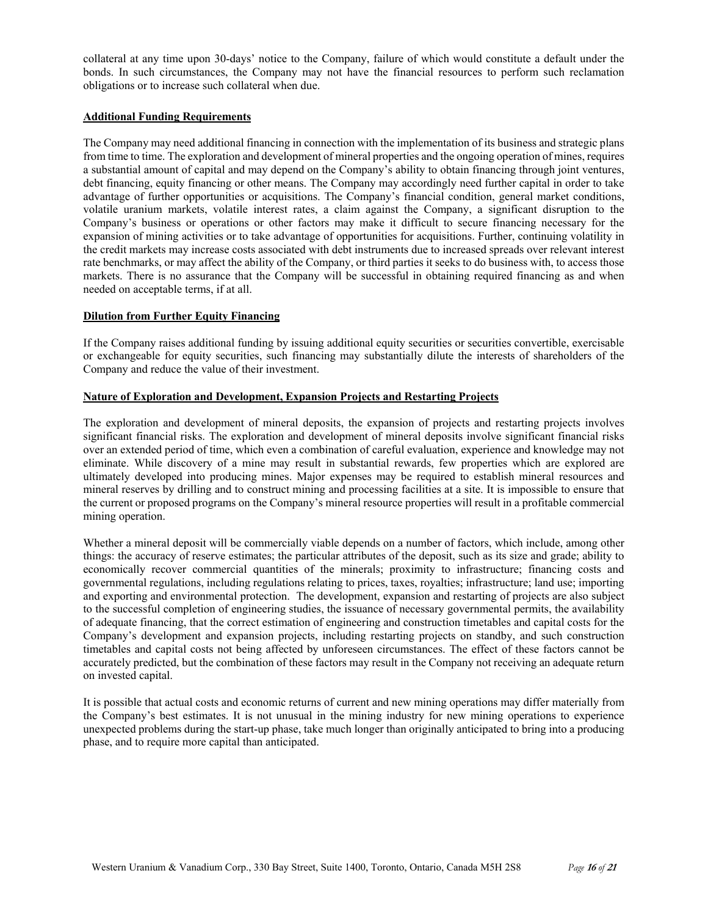collateral at any time upon 30-days' notice to the Company, failure of which would constitute a default under the bonds. In such circumstances, the Company may not have the financial resources to perform such reclamation obligations or to increase such collateral when due.

## **Additional Funding Requirements**

The Company may need additional financing in connection with the implementation of its business and strategic plans from time to time. The exploration and development of mineral properties and the ongoing operation of mines, requires a substantial amount of capital and may depend on the Company's ability to obtain financing through joint ventures, debt financing, equity financing or other means. The Company may accordingly need further capital in order to take advantage of further opportunities or acquisitions. The Company's financial condition, general market conditions, volatile uranium markets, volatile interest rates, a claim against the Company, a significant disruption to the Company's business or operations or other factors may make it difficult to secure financing necessary for the expansion of mining activities or to take advantage of opportunities for acquisitions. Further, continuing volatility in the credit markets may increase costs associated with debt instruments due to increased spreads over relevant interest rate benchmarks, or may affect the ability of the Company, or third parties it seeks to do business with, to access those markets. There is no assurance that the Company will be successful in obtaining required financing as and when needed on acceptable terms, if at all.

### **Dilution from Further Equity Financing**

If the Company raises additional funding by issuing additional equity securities or securities convertible, exercisable or exchangeable for equity securities, such financing may substantially dilute the interests of shareholders of the Company and reduce the value of their investment.

## **Nature of Exploration and Development, Expansion Projects and Restarting Projects**

The exploration and development of mineral deposits, the expansion of projects and restarting projects involves significant financial risks. The exploration and development of mineral deposits involve significant financial risks over an extended period of time, which even a combination of careful evaluation, experience and knowledge may not eliminate. While discovery of a mine may result in substantial rewards, few properties which are explored are ultimately developed into producing mines. Major expenses may be required to establish mineral resources and mineral reserves by drilling and to construct mining and processing facilities at a site. It is impossible to ensure that the current or proposed programs on the Company's mineral resource properties will result in a profitable commercial mining operation.

Whether a mineral deposit will be commercially viable depends on a number of factors, which include, among other things: the accuracy of reserve estimates; the particular attributes of the deposit, such as its size and grade; ability to economically recover commercial quantities of the minerals; proximity to infrastructure; financing costs and governmental regulations, including regulations relating to prices, taxes, royalties; infrastructure; land use; importing and exporting and environmental protection. The development, expansion and restarting of projects are also subject to the successful completion of engineering studies, the issuance of necessary governmental permits, the availability of adequate financing, that the correct estimation of engineering and construction timetables and capital costs for the Company's development and expansion projects, including restarting projects on standby, and such construction timetables and capital costs not being affected by unforeseen circumstances. The effect of these factors cannot be accurately predicted, but the combination of these factors may result in the Company not receiving an adequate return on invested capital.

It is possible that actual costs and economic returns of current and new mining operations may differ materially from the Company's best estimates. It is not unusual in the mining industry for new mining operations to experience unexpected problems during the start-up phase, take much longer than originally anticipated to bring into a producing phase, and to require more capital than anticipated.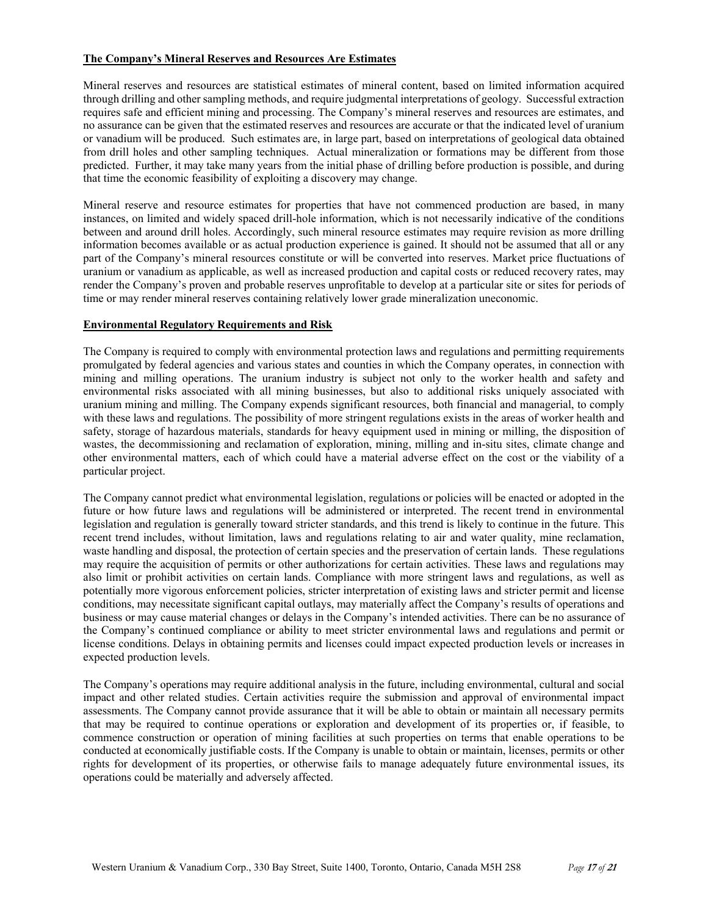### **The Company's Mineral Reserves and Resources Are Estimates**

Mineral reserves and resources are statistical estimates of mineral content, based on limited information acquired through drilling and other sampling methods, and require judgmental interpretations of geology. Successful extraction requires safe and efficient mining and processing. The Company's mineral reserves and resources are estimates, and no assurance can be given that the estimated reserves and resources are accurate or that the indicated level of uranium or vanadium will be produced. Such estimates are, in large part, based on interpretations of geological data obtained from drill holes and other sampling techniques. Actual mineralization or formations may be different from those predicted. Further, it may take many years from the initial phase of drilling before production is possible, and during that time the economic feasibility of exploiting a discovery may change.

Mineral reserve and resource estimates for properties that have not commenced production are based, in many instances, on limited and widely spaced drill-hole information, which is not necessarily indicative of the conditions between and around drill holes. Accordingly, such mineral resource estimates may require revision as more drilling information becomes available or as actual production experience is gained. It should not be assumed that all or any part of the Company's mineral resources constitute or will be converted into reserves. Market price fluctuations of uranium or vanadium as applicable, as well as increased production and capital costs or reduced recovery rates, may render the Company's proven and probable reserves unprofitable to develop at a particular site or sites for periods of time or may render mineral reserves containing relatively lower grade mineralization uneconomic.

# **Environmental Regulatory Requirements and Risk**

The Company is required to comply with environmental protection laws and regulations and permitting requirements promulgated by federal agencies and various states and counties in which the Company operates, in connection with mining and milling operations. The uranium industry is subject not only to the worker health and safety and environmental risks associated with all mining businesses, but also to additional risks uniquely associated with uranium mining and milling. The Company expends significant resources, both financial and managerial, to comply with these laws and regulations. The possibility of more stringent regulations exists in the areas of worker health and safety, storage of hazardous materials, standards for heavy equipment used in mining or milling, the disposition of wastes, the decommissioning and reclamation of exploration, mining, milling and in-situ sites, climate change and other environmental matters, each of which could have a material adverse effect on the cost or the viability of a particular project.

The Company cannot predict what environmental legislation, regulations or policies will be enacted or adopted in the future or how future laws and regulations will be administered or interpreted. The recent trend in environmental legislation and regulation is generally toward stricter standards, and this trend is likely to continue in the future. This recent trend includes, without limitation, laws and regulations relating to air and water quality, mine reclamation, waste handling and disposal, the protection of certain species and the preservation of certain lands. These regulations may require the acquisition of permits or other authorizations for certain activities. These laws and regulations may also limit or prohibit activities on certain lands. Compliance with more stringent laws and regulations, as well as potentially more vigorous enforcement policies, stricter interpretation of existing laws and stricter permit and license conditions, may necessitate significant capital outlays, may materially affect the Company's results of operations and business or may cause material changes or delays in the Company's intended activities. There can be no assurance of the Company's continued compliance or ability to meet stricter environmental laws and regulations and permit or license conditions. Delays in obtaining permits and licenses could impact expected production levels or increases in expected production levels.

The Company's operations may require additional analysis in the future, including environmental, cultural and social impact and other related studies. Certain activities require the submission and approval of environmental impact assessments. The Company cannot provide assurance that it will be able to obtain or maintain all necessary permits that may be required to continue operations or exploration and development of its properties or, if feasible, to commence construction or operation of mining facilities at such properties on terms that enable operations to be conducted at economically justifiable costs. If the Company is unable to obtain or maintain, licenses, permits or other rights for development of its properties, or otherwise fails to manage adequately future environmental issues, its operations could be materially and adversely affected.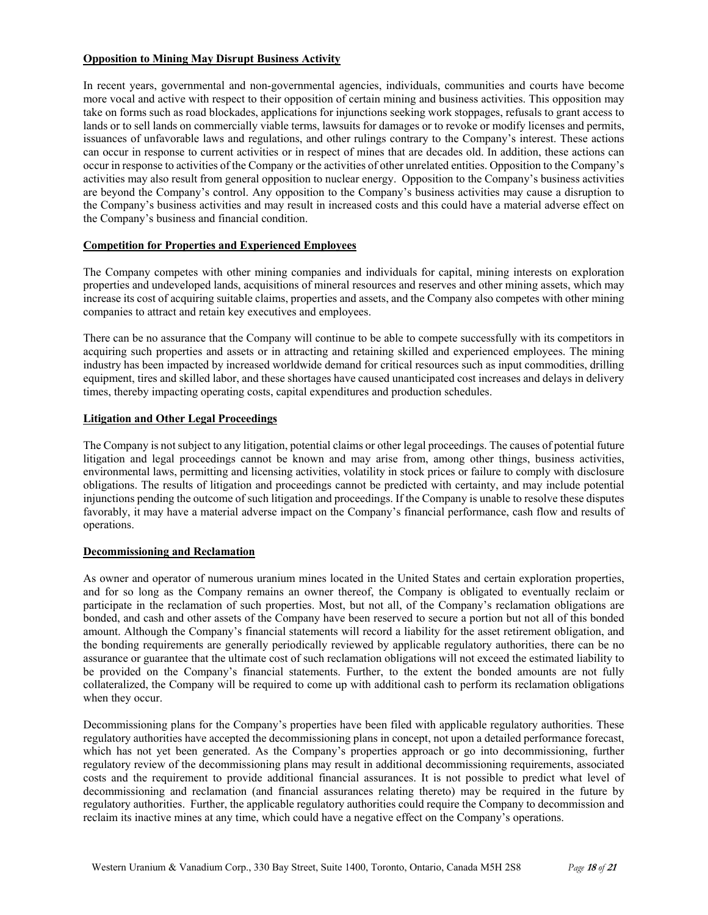## **Opposition to Mining May Disrupt Business Activity**

In recent years, governmental and non-governmental agencies, individuals, communities and courts have become more vocal and active with respect to their opposition of certain mining and business activities. This opposition may take on forms such as road blockades, applications for injunctions seeking work stoppages, refusals to grant access to lands or to sell lands on commercially viable terms, lawsuits for damages or to revoke or modify licenses and permits, issuances of unfavorable laws and regulations, and other rulings contrary to the Company's interest. These actions can occur in response to current activities or in respect of mines that are decades old. In addition, these actions can occur in response to activities of the Company or the activities of other unrelated entities. Opposition to the Company's activities may also result from general opposition to nuclear energy. Opposition to the Company's business activities are beyond the Company's control. Any opposition to the Company's business activities may cause a disruption to the Company's business activities and may result in increased costs and this could have a material adverse effect on the Company's business and financial condition.

# **Competition for Properties and Experienced Employees**

The Company competes with other mining companies and individuals for capital, mining interests on exploration properties and undeveloped lands, acquisitions of mineral resources and reserves and other mining assets, which may increase its cost of acquiring suitable claims, properties and assets, and the Company also competes with other mining companies to attract and retain key executives and employees.

There can be no assurance that the Company will continue to be able to compete successfully with its competitors in acquiring such properties and assets or in attracting and retaining skilled and experienced employees. The mining industry has been impacted by increased worldwide demand for critical resources such as input commodities, drilling equipment, tires and skilled labor, and these shortages have caused unanticipated cost increases and delays in delivery times, thereby impacting operating costs, capital expenditures and production schedules.

# **Litigation and Other Legal Proceedings**

The Company is not subject to any litigation, potential claims or other legal proceedings. The causes of potential future litigation and legal proceedings cannot be known and may arise from, among other things, business activities, environmental laws, permitting and licensing activities, volatility in stock prices or failure to comply with disclosure obligations. The results of litigation and proceedings cannot be predicted with certainty, and may include potential injunctions pending the outcome of such litigation and proceedings. If the Company is unable to resolve these disputes favorably, it may have a material adverse impact on the Company's financial performance, cash flow and results of operations.

## **Decommissioning and Reclamation**

As owner and operator of numerous uranium mines located in the United States and certain exploration properties, and for so long as the Company remains an owner thereof, the Company is obligated to eventually reclaim or participate in the reclamation of such properties. Most, but not all, of the Company's reclamation obligations are bonded, and cash and other assets of the Company have been reserved to secure a portion but not all of this bonded amount. Although the Company's financial statements will record a liability for the asset retirement obligation, and the bonding requirements are generally periodically reviewed by applicable regulatory authorities, there can be no assurance or guarantee that the ultimate cost of such reclamation obligations will not exceed the estimated liability to be provided on the Company's financial statements. Further, to the extent the bonded amounts are not fully collateralized, the Company will be required to come up with additional cash to perform its reclamation obligations when they occur.

Decommissioning plans for the Company's properties have been filed with applicable regulatory authorities. These regulatory authorities have accepted the decommissioning plans in concept, not upon a detailed performance forecast, which has not yet been generated. As the Company's properties approach or go into decommissioning, further regulatory review of the decommissioning plans may result in additional decommissioning requirements, associated costs and the requirement to provide additional financial assurances. It is not possible to predict what level of decommissioning and reclamation (and financial assurances relating thereto) may be required in the future by regulatory authorities. Further, the applicable regulatory authorities could require the Company to decommission and reclaim its inactive mines at any time, which could have a negative effect on the Company's operations.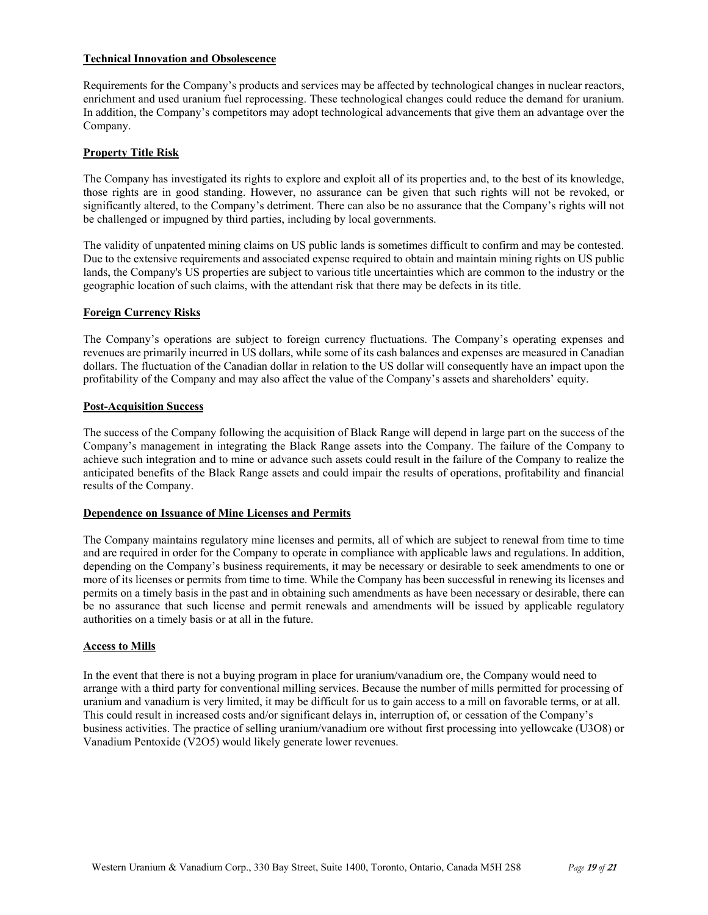## **Technical Innovation and Obsolescence**

Requirements for the Company's products and services may be affected by technological changes in nuclear reactors, enrichment and used uranium fuel reprocessing. These technological changes could reduce the demand for uranium. In addition, the Company's competitors may adopt technological advancements that give them an advantage over the Company.

# **Property Title Risk**

The Company has investigated its rights to explore and exploit all of its properties and, to the best of its knowledge, those rights are in good standing. However, no assurance can be given that such rights will not be revoked, or significantly altered, to the Company's detriment. There can also be no assurance that the Company's rights will not be challenged or impugned by third parties, including by local governments.

The validity of unpatented mining claims on US public lands is sometimes difficult to confirm and may be contested. Due to the extensive requirements and associated expense required to obtain and maintain mining rights on US public lands, the Company's US properties are subject to various title uncertainties which are common to the industry or the geographic location of such claims, with the attendant risk that there may be defects in its title.

## **Foreign Currency Risks**

The Company's operations are subject to foreign currency fluctuations. The Company's operating expenses and revenues are primarily incurred in US dollars, while some of its cash balances and expenses are measured in Canadian dollars. The fluctuation of the Canadian dollar in relation to the US dollar will consequently have an impact upon the profitability of the Company and may also affect the value of the Company's assets and shareholders' equity.

## **Post-Acquisition Success**

The success of the Company following the acquisition of Black Range will depend in large part on the success of the Company's management in integrating the Black Range assets into the Company. The failure of the Company to achieve such integration and to mine or advance such assets could result in the failure of the Company to realize the anticipated benefits of the Black Range assets and could impair the results of operations, profitability and financial results of the Company.

# **Dependence on Issuance of Mine Licenses and Permits**

The Company maintains regulatory mine licenses and permits, all of which are subject to renewal from time to time and are required in order for the Company to operate in compliance with applicable laws and regulations. In addition, depending on the Company's business requirements, it may be necessary or desirable to seek amendments to one or more of its licenses or permits from time to time. While the Company has been successful in renewing its licenses and permits on a timely basis in the past and in obtaining such amendments as have been necessary or desirable, there can be no assurance that such license and permit renewals and amendments will be issued by applicable regulatory authorities on a timely basis or at all in the future.

### **Access to Mills**

In the event that there is not a buying program in place for uranium/vanadium ore, the Company would need to arrange with a third party for conventional milling services. Because the number of mills permitted for processing of uranium and vanadium is very limited, it may be difficult for us to gain access to a mill on favorable terms, or at all. This could result in increased costs and/or significant delays in, interruption of, or cessation of the Company's business activities. The practice of selling uranium/vanadium ore without first processing into yellowcake (U3O8) or Vanadium Pentoxide (V2O5) would likely generate lower revenues.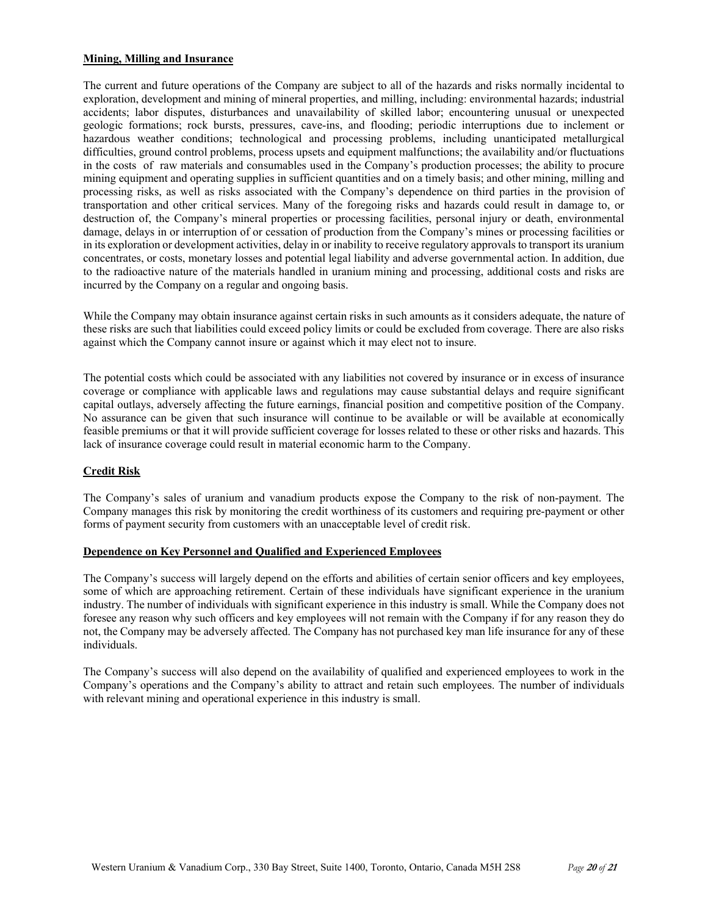### **Mining, Milling and Insurance**

The current and future operations of the Company are subject to all of the hazards and risks normally incidental to exploration, development and mining of mineral properties, and milling, including: environmental hazards; industrial accidents; labor disputes, disturbances and unavailability of skilled labor; encountering unusual or unexpected geologic formations; rock bursts, pressures, cave-ins, and flooding; periodic interruptions due to inclement or hazardous weather conditions; technological and processing problems, including unanticipated metallurgical difficulties, ground control problems, process upsets and equipment malfunctions; the availability and/or fluctuations in the costs of raw materials and consumables used in the Company's production processes; the ability to procure mining equipment and operating supplies in sufficient quantities and on a timely basis; and other mining, milling and processing risks, as well as risks associated with the Company's dependence on third parties in the provision of transportation and other critical services. Many of the foregoing risks and hazards could result in damage to, or destruction of, the Company's mineral properties or processing facilities, personal injury or death, environmental damage, delays in or interruption of or cessation of production from the Company's mines or processing facilities or in its exploration or development activities, delay in or inability to receive regulatory approvals to transport its uranium concentrates, or costs, monetary losses and potential legal liability and adverse governmental action. In addition, due to the radioactive nature of the materials handled in uranium mining and processing, additional costs and risks are incurred by the Company on a regular and ongoing basis.

While the Company may obtain insurance against certain risks in such amounts as it considers adequate, the nature of these risks are such that liabilities could exceed policy limits or could be excluded from coverage. There are also risks against which the Company cannot insure or against which it may elect not to insure.

The potential costs which could be associated with any liabilities not covered by insurance or in excess of insurance coverage or compliance with applicable laws and regulations may cause substantial delays and require significant capital outlays, adversely affecting the future earnings, financial position and competitive position of the Company. No assurance can be given that such insurance will continue to be available or will be available at economically feasible premiums or that it will provide sufficient coverage for losses related to these or other risks and hazards. This lack of insurance coverage could result in material economic harm to the Company.

### **Credit Risk**

The Company's sales of uranium and vanadium products expose the Company to the risk of non-payment. The Company manages this risk by monitoring the credit worthiness of its customers and requiring pre-payment or other forms of payment security from customers with an unacceptable level of credit risk.

### **Dependence on Key Personnel and Qualified and Experienced Employees**

The Company's success will largely depend on the efforts and abilities of certain senior officers and key employees, some of which are approaching retirement. Certain of these individuals have significant experience in the uranium industry. The number of individuals with significant experience in this industry is small. While the Company does not foresee any reason why such officers and key employees will not remain with the Company if for any reason they do not, the Company may be adversely affected. The Company has not purchased key man life insurance for any of these individuals.

The Company's success will also depend on the availability of qualified and experienced employees to work in the Company's operations and the Company's ability to attract and retain such employees. The number of individuals with relevant mining and operational experience in this industry is small.